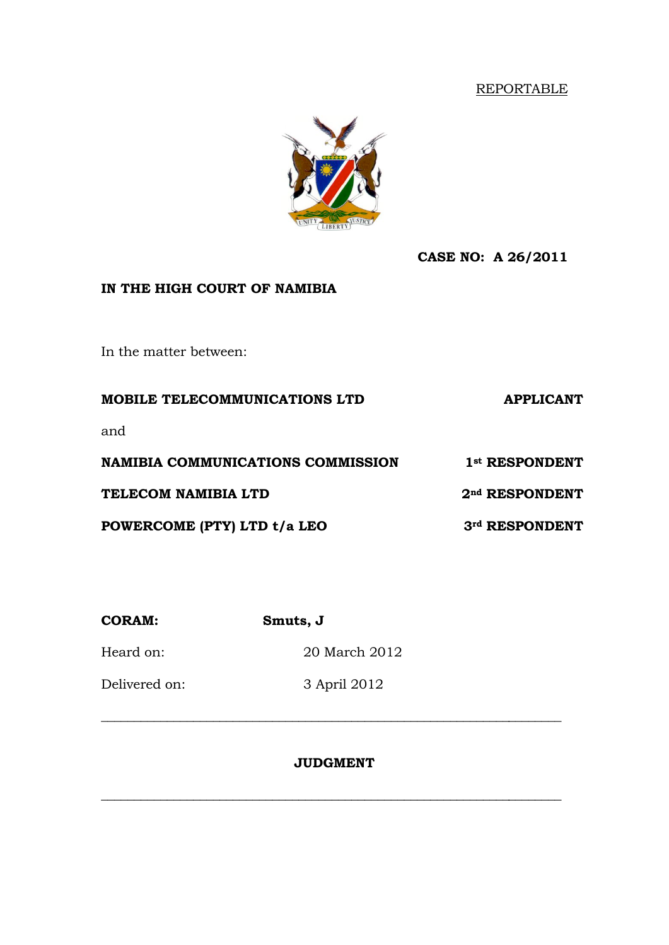## REPORTABLE



**CASE NO: A 26/2011**

## **IN THE HIGH COURT OF NAMIBIA**

In the matter between:

**MOBILE TELECOMMUNICATIONS LTD APPLICANT** and **NAMIBIA COMMUNICATIONS COMMISSION 1st RESPONDENT TELECOM NAMIBIA LTD 2nd RESPONDENT POWERCOME (PTY) LTD t/a LEO 3rd RESPONDENT**

**CORAM: Smuts, J** Heard on: 20 March 2012 Delivered on: 3 April 2012

## **JUDGMENT**

\_\_\_\_\_\_\_\_\_\_\_\_\_\_\_\_\_\_\_\_\_\_\_\_\_\_\_\_\_\_\_\_\_\_\_\_\_\_\_\_\_\_\_\_\_\_\_\_\_\_\_\_\_\_\_\_\_\_\_\_\_\_\_\_\_\_\_\_\_\_

\_\_\_\_\_\_\_\_\_\_\_\_\_\_\_\_\_\_\_\_\_\_\_\_\_\_\_\_\_\_\_\_\_\_\_\_\_\_\_\_\_\_\_\_\_\_\_\_\_\_\_\_\_\_\_\_\_\_\_\_\_\_\_\_\_\_\_\_\_\_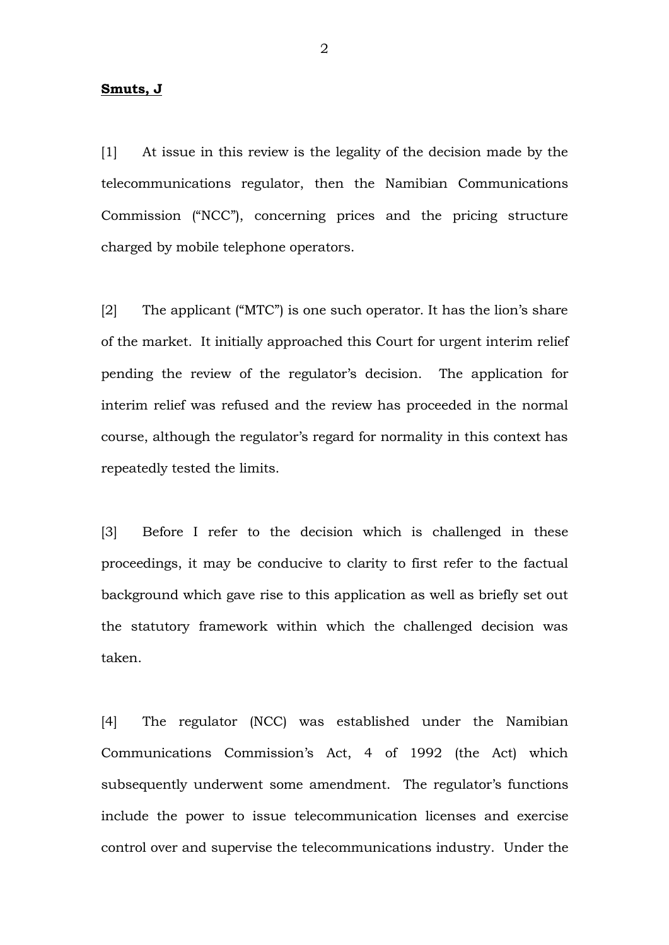#### **Smuts, J**

[1] At issue in this review is the legality of the decision made by the telecommunications regulator, then the Namibian Communications Commission ("NCC"), concerning prices and the pricing structure charged by mobile telephone operators.

[2] The applicant ("MTC") is one such operator. It has the lion's share of the market. It initially approached this Court for urgent interim relief pending the review of the regulator's decision. The application for interim relief was refused and the review has proceeded in the normal course, although the regulator's regard for normality in this context has repeatedly tested the limits.

[3] Before I refer to the decision which is challenged in these proceedings, it may be conducive to clarity to first refer to the factual background which gave rise to this application as well as briefly set out the statutory framework within which the challenged decision was taken.

[4] The regulator (NCC) was established under the Namibian Communications Commission's Act, 4 of 1992 (the Act) which subsequently underwent some amendment. The regulator's functions include the power to issue telecommunication licenses and exercise control over and supervise the telecommunications industry. Under the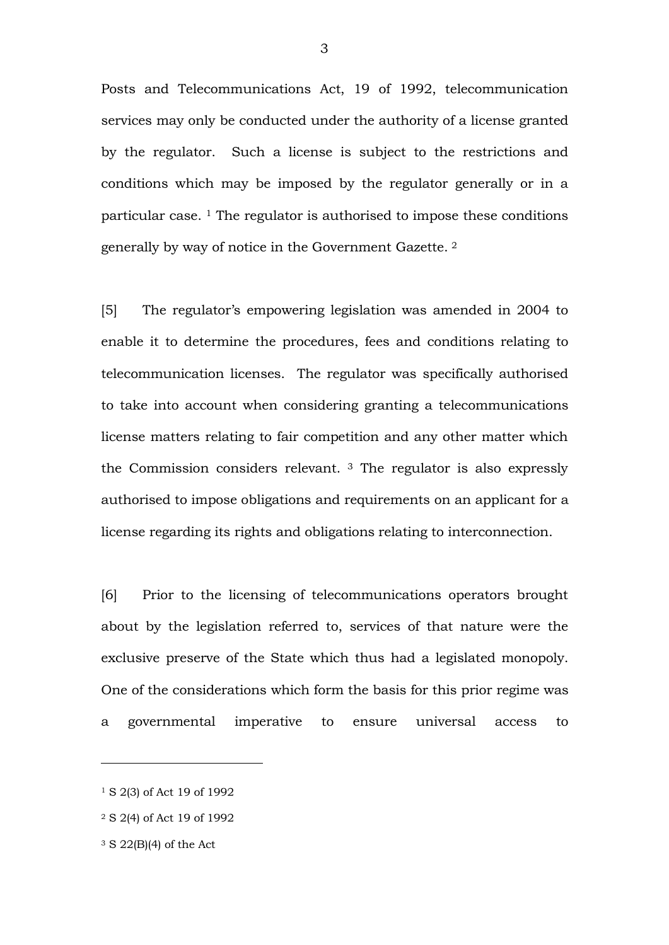Posts and Telecommunications Act, 19 of 1992, telecommunication services may only be conducted under the authority of a license granted by the regulator. Such a license is subject to the restrictions and conditions which may be imposed by the regulator generally or in a particular case. <sup>1</sup> The regulator is authorised to impose these conditions generally by way of notice in the Government Gazette. 2

[5] The regulator's empowering legislation was amended in 2004 to enable it to determine the procedures, fees and conditions relating to telecommunication licenses. The regulator was specifically authorised to take into account when considering granting a telecommunications license matters relating to fair competition and any other matter which the Commission considers relevant. 3 The regulator is also expressly authorised to impose obligations and requirements on an applicant for a license regarding its rights and obligations relating to interconnection.

[6] Prior to the licensing of telecommunications operators brought about by the legislation referred to, services of that nature were the exclusive preserve of the State which thus had a legislated monopoly. One of the considerations which form the basis for this prior regime was a governmental imperative to ensure universal access to

<sup>1</sup> S 2(3) of Act 19 of 1992

<sup>2</sup> S 2(4) of Act 19 of 1992

<sup>3</sup> S 22(B)(4) of the Act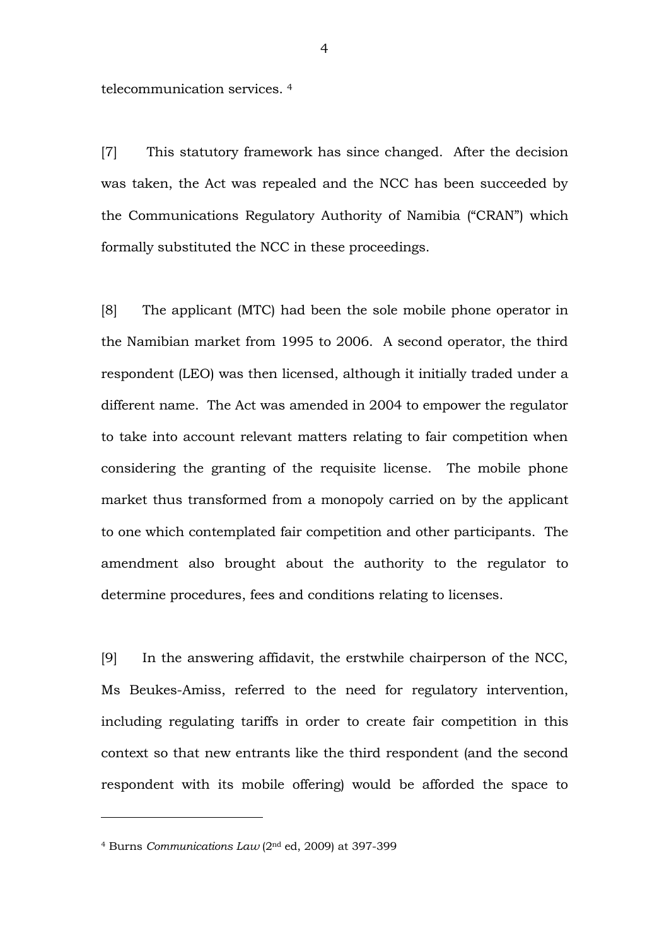telecommunication services. 4

[7] This statutory framework has since changed. After the decision was taken, the Act was repealed and the NCC has been succeeded by the Communications Regulatory Authority of Namibia ("CRAN") which formally substituted the NCC in these proceedings.

[8] The applicant (MTC) had been the sole mobile phone operator in the Namibian market from 1995 to 2006. A second operator, the third respondent (LEO) was then licensed, although it initially traded under a different name. The Act was amended in 2004 to empower the regulator to take into account relevant matters relating to fair competition when considering the granting of the requisite license. The mobile phone market thus transformed from a monopoly carried on by the applicant to one which contemplated fair competition and other participants. The amendment also brought about the authority to the regulator to determine procedures, fees and conditions relating to licenses.

[9] In the answering affidavit, the erstwhile chairperson of the NCC, Ms Beukes-Amiss, referred to the need for regulatory intervention, including regulating tariffs in order to create fair competition in this context so that new entrants like the third respondent (and the second respondent with its mobile offering) would be afforded the space to

<sup>&</sup>lt;sup>4</sup> Burns *Communications Law* (2<sup>nd</sup> ed, 2009) at 397-399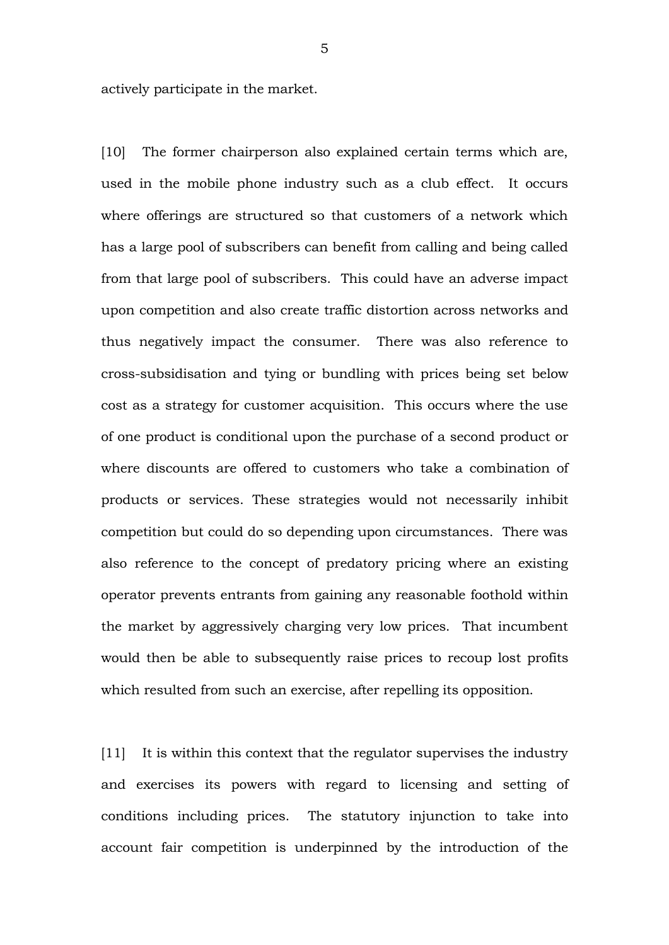actively participate in the market.

[10] The former chairperson also explained certain terms which are, used in the mobile phone industry such as a club effect. It occurs where offerings are structured so that customers of a network which has a large pool of subscribers can benefit from calling and being called from that large pool of subscribers. This could have an adverse impact upon competition and also create traffic distortion across networks and thus negatively impact the consumer. There was also reference to cross-subsidisation and tying or bundling with prices being set below cost as a strategy for customer acquisition. This occurs where the use of one product is conditional upon the purchase of a second product or where discounts are offered to customers who take a combination of products or services. These strategies would not necessarily inhibit competition but could do so depending upon circumstances. There was also reference to the concept of predatory pricing where an existing operator prevents entrants from gaining any reasonable foothold within the market by aggressively charging very low prices. That incumbent would then be able to subsequently raise prices to recoup lost profits which resulted from such an exercise, after repelling its opposition.

[11] It is within this context that the regulator supervises the industry and exercises its powers with regard to licensing and setting of conditions including prices. The statutory injunction to take into account fair competition is underpinned by the introduction of the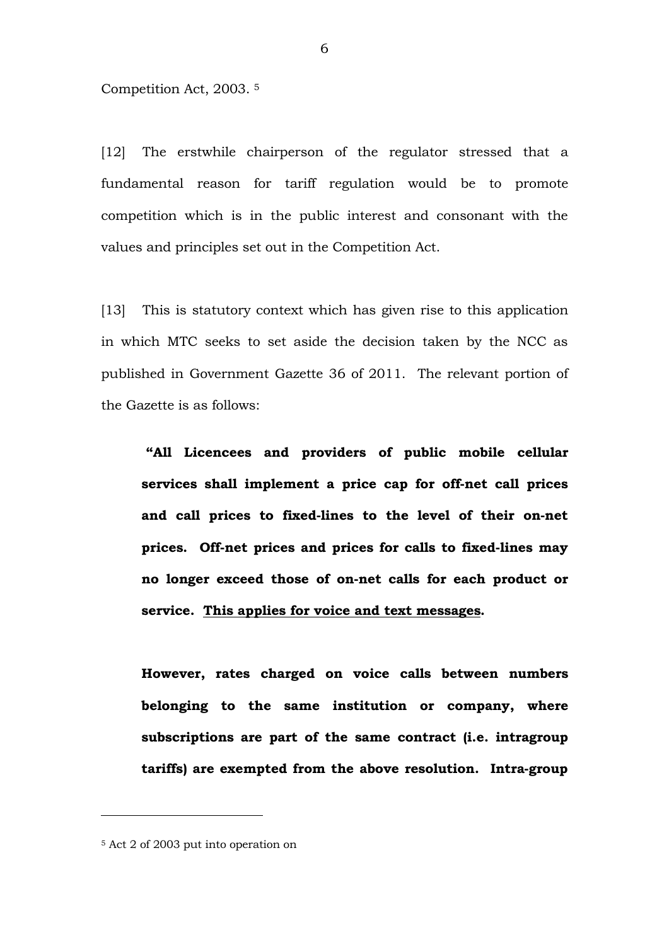Competition Act, 2003. 5

[12] The erstwhile chairperson of the regulator stressed that a fundamental reason for tariff regulation would be to promote competition which is in the public interest and consonant with the values and principles set out in the Competition Act.

[13] This is statutory context which has given rise to this application in which MTC seeks to set aside the decision taken by the NCC as published in Government Gazette 36 of 2011. The relevant portion of the Gazette is as follows:

**"All Licencees and providers of public mobile cellular**  services shall implement a price cap for off-net call prices and call prices to fixed-lines to the level of their on-net prices. Off-net prices and prices for calls to fixed-lines may no longer exceed those of on-net calls for each product or **service. This applies for voice and text messages.** 

**However, rates charged on voice calls between numbers belonging to the same institution or company, where subscriptions are part of the same contract (i.e. intragroup**  tariffs) are exempted from the above resolution. Intra-group

<sup>5</sup> Act 2 of 2003 put into operation on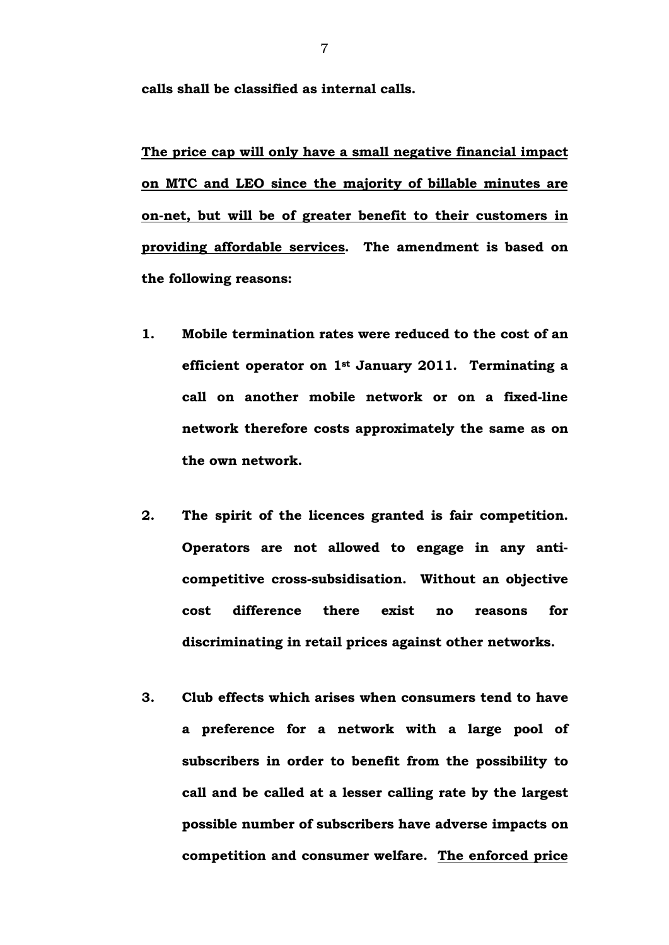**calls shall be classified as internal calls.** 

**The price cap will only have a small negative financial impact on MTC and LEO since the majority of billable minutes are on-net, but will be of greater benefit to their customers in providing affordable services. The amendment is based on the following reasons:** 

- **1. Mobile termination rates were reduced to the cost of an efficient operator on 1st January 2011. Terminating a**  call on another mobile network or on a fixed-line **network therefore costs approximately the same as on the own network.**
- **2. The spirit of the licences granted is fair competition. Operators are not allowed to engage in any anti**competitive cross-subsidisation. Without an objective **cost difference there exist no reasons for discriminating in retail prices against other networks.**
- **3. Club effects which arises when consumers tend to have a preference for a network with a large pool of subscribers in order to benefit from the possibility to call and be called at a lesser calling rate by the largest possible number of subscribers have adverse impacts on competition and consumer welfare. The enforced price**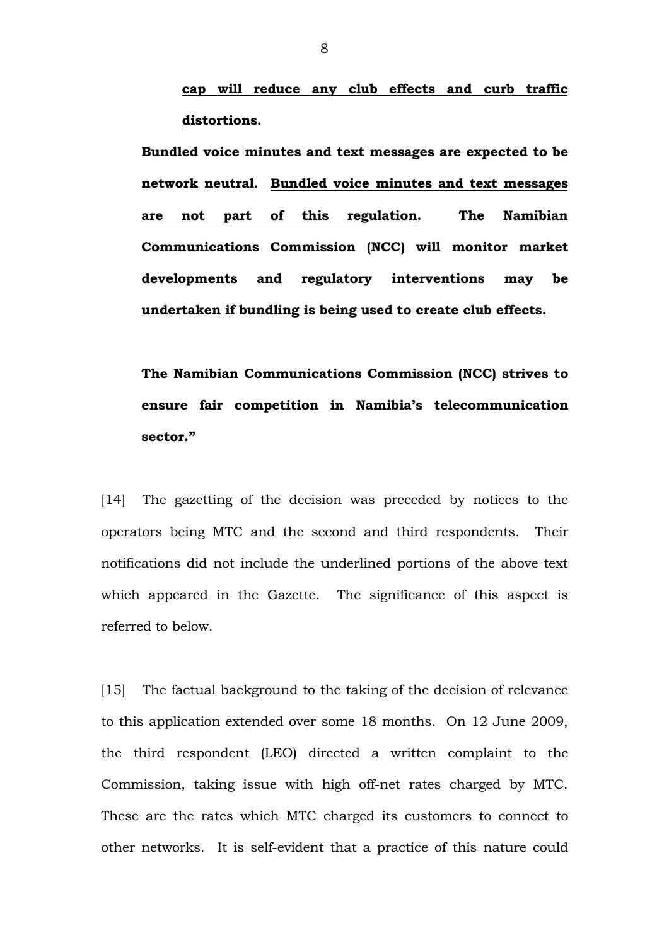**cap will reduce any club effects and curb traffic distortions.** 

**Bundled voice minutes and text messages are expected to be network neutral. Bundled voice minutes and text messages are not part of this regulation. The Namibian Communications Commission (NCC) will monitor market developments and regulatory interventions may be undertaken if bundling is being used to create club effects.** 

**The Namibian Communications Commission (NCC) strives to ensure fair competition in Namibia's telecommunication sector."**

[14] The gazetting of the decision was preceded by notices to the operators being MTC and the second and third respondents. Their notifications did not include the underlined portions of the above text which appeared in the Gazette. The significance of this aspect is referred to below.

[15] The factual background to the taking of the decision of relevance to this application extended over some 18 months. On 12 June 2009, the third respondent (LEO) directed a written complaint to the Commission, taking issue with high off-net rates charged by MTC. These are the rates which MTC charged its customers to connect to other networks. It is self-evident that a practice of this nature could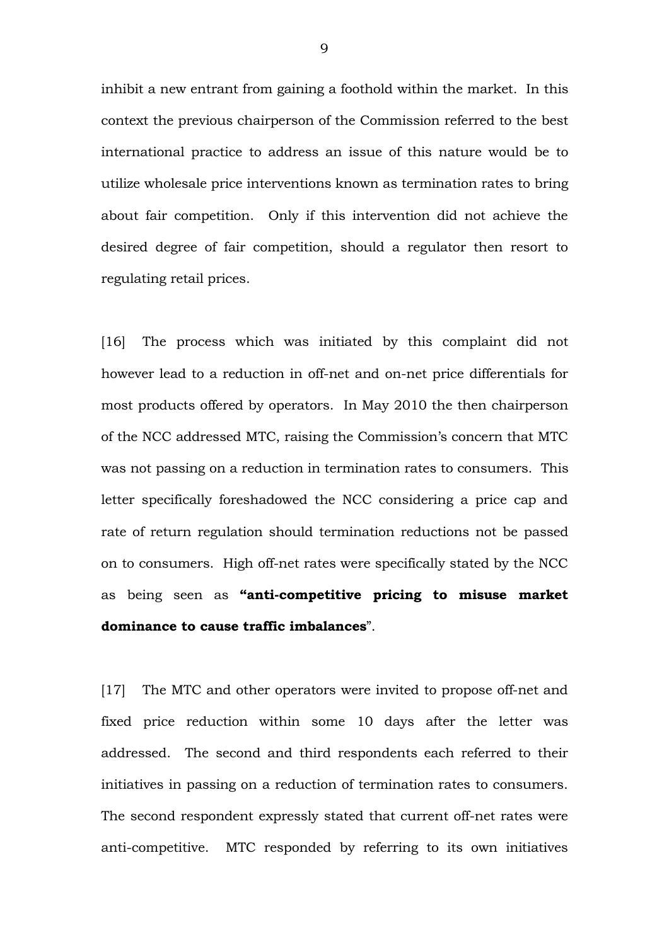inhibit a new entrant from gaining a foothold within the market. In this context the previous chairperson of the Commission referred to the best international practice to address an issue of this nature would be to utilize wholesale price interventions known as termination rates to bring about fair competition. Only if this intervention did not achieve the desired degree of fair competition, should a regulator then resort to regulating retail prices.

[16] The process which was initiated by this complaint did not however lead to a reduction in off-net and on-net price differentials for most products offered by operators. In May 2010 the then chairperson of the NCC addressed MTC, raising the Commission's concern that MTC was not passing on a reduction in termination rates to consumers. This letter specifically foreshadowed the NCC considering a price cap and rate of return regulation should termination reductions not be passed on to consumers. High off-net rates were specifically stated by the NCC as being seen as **"anticompetitive pricing to misuse market dominance to cause traffic imbalances**".

[17] The MTC and other operators were invited to propose off-net and fixed price reduction within some 10 days after the letter was addressed. The second and third respondents each referred to their initiatives in passing on a reduction of termination rates to consumers. The second respondent expressly stated that current off-net rates were anti-competitive. MTC responded by referring to its own initiatives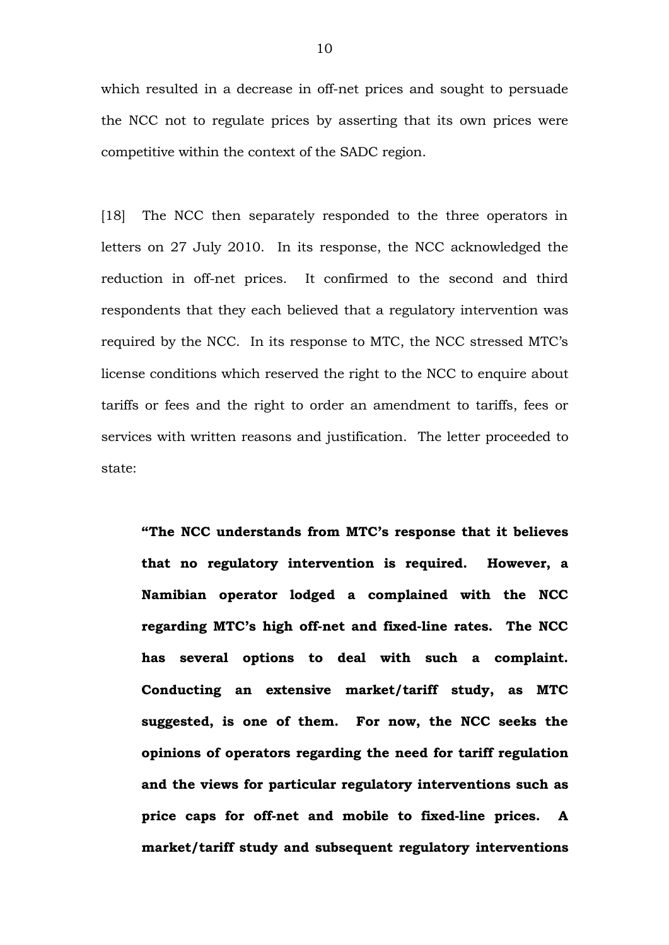which resulted in a decrease in off-net prices and sought to persuade the NCC not to regulate prices by asserting that its own prices were competitive within the context of the SADC region.

[18] The NCC then separately responded to the three operators in letters on 27 July 2010. In its response, the NCC acknowledged the reduction in off-net prices. It confirmed to the second and third respondents that they each believed that a regulatory intervention was required by the NCC. In its response to MTC, the NCC stressed MTC's license conditions which reserved the right to the NCC to enquire about tariffs or fees and the right to order an amendment to tariffs, fees or services with written reasons and justification. The letter proceeded to state:

**"The NCC understands from MTC's response that it believes that no regulatory intervention is required. However, a Namibian operator lodged a complained with the NCC**  regarding MTC's high off-net and fixed-line rates. The NCC **has several options to deal with such a complaint. Conducting an extensive market/tariff study, as MTC suggested, is one of them. For now, the NCC seeks the opinions of operators regarding the need for tariff regulation and the views for particular regulatory interventions such as**  price caps for off-net and mobile to fixed-line prices. A **market/tariff study and subsequent regulatory interventions**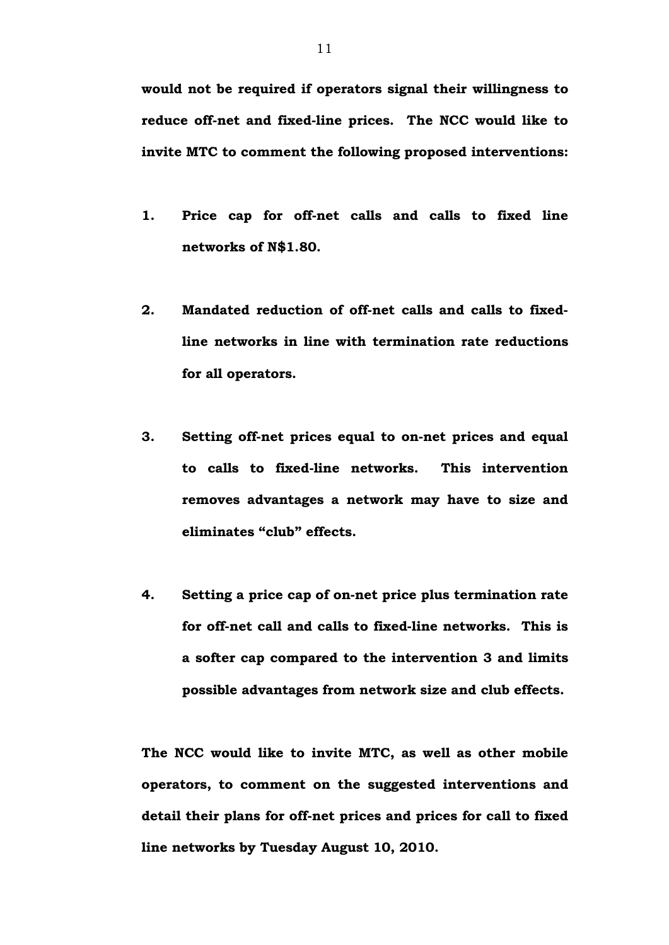**would not be required if operators signal their willingness to**  reduce off-net and fixed-line prices. The NCC would like to **invite MTC to comment the following proposed interventions:** 

- 1. **Price cap for off-net calls and calls to fixed line networks of N\$1.80.**
- 2. Mandated reduction of off-net calls and calls to fixed**line networks in line with termination rate reductions for all operators.**
- **3. Setting off-net prices equal to on-net prices and equal** to calls to fixed-line networks. This intervention **removes advantages a network may have to size and eliminates "club" effects.**
- **4. Setting a price cap of on-net price plus termination rate** for off-net call and calls to fixed-line networks. This is **a softer cap compared to the intervention 3 and limits possible advantages from network size and club effects.**

**The NCC would like to invite MTC, as well as other mobile operators, to comment on the suggested interventions and**  detail their plans for off-net prices and prices for call to fixed **line networks by Tuesday August 10, 2010.**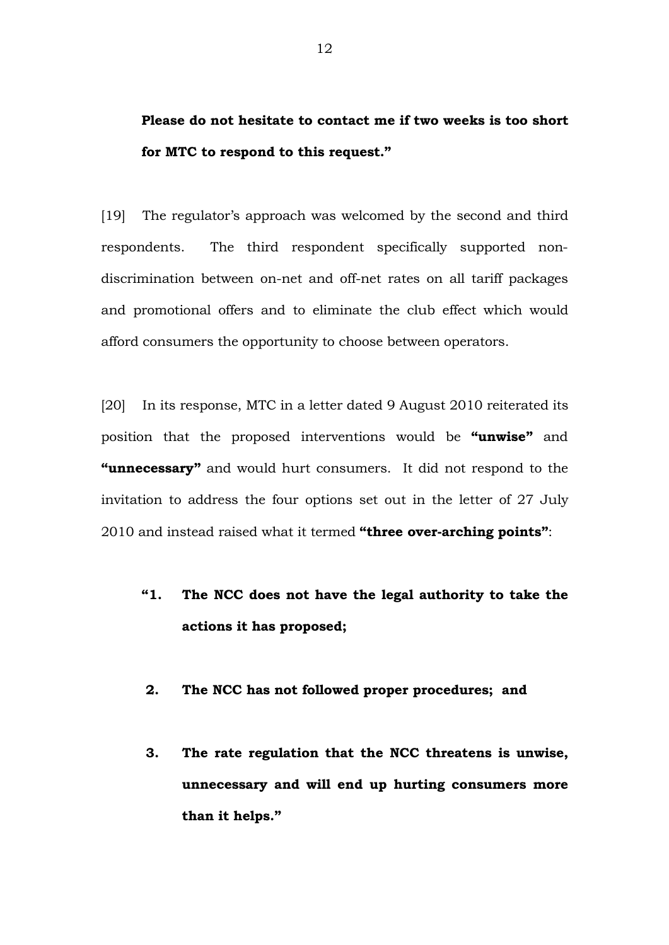**Please do not hesitate to contact me if two weeks is too short for MTC to respond to this request."** 

[19] The regulator's approach was welcomed by the second and third respondents. The third respondent specifically supported nondiscrimination between on-net and off-net rates on all tariff packages and promotional offers and to eliminate the club effect which would afford consumers the opportunity to choose between operators.

[20] In its response, MTC in a letter dated 9 August 2010 reiterated its position that the proposed interventions would be **"unwise"** and **"unnecessary"** and would hurt consumers. It did not respond to the invitation to address the four options set out in the letter of 27 July 2010 and instead raised what it termed **"three overarching points"**:

- **"1. The NCC does not have the legal authority to take the actions it has proposed;**
- **2. The NCC has not followed proper procedures; and**
- **3. The rate regulation that the NCC threatens is unwise, unnecessary and will end up hurting consumers more than it helps."**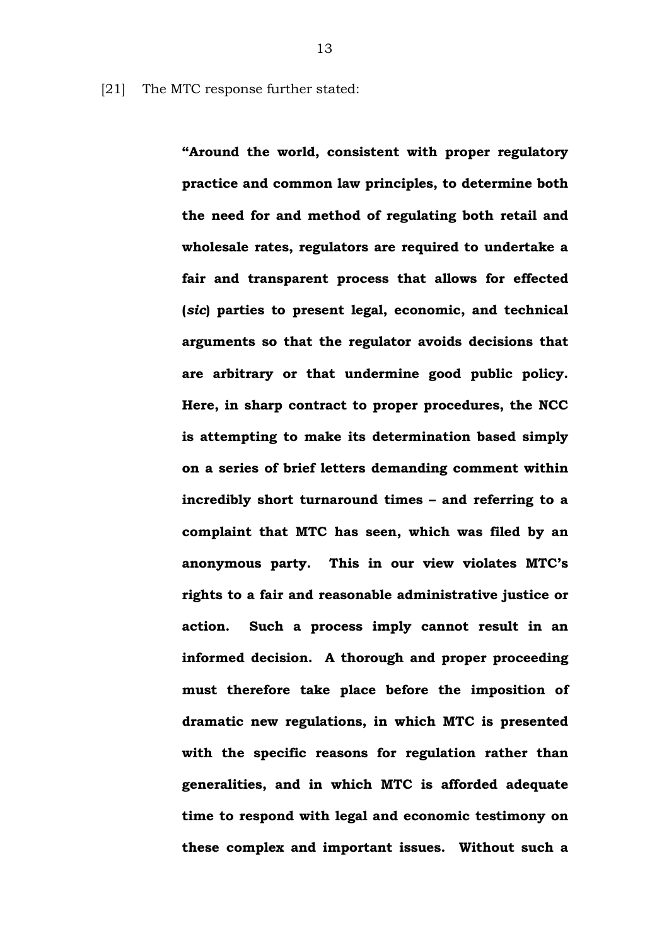[21] The MTC response further stated:

**"Around the world, consistent with proper regulatory practice and common law principles, to determine both the need for and method of regulating both retail and wholesale rates, regulators are required to undertake a fair and transparent process that allows for effected (***sic***) parties to present legal, economic, and technical arguments so that the regulator avoids decisions that are arbitrary or that undermine good public policy. Here, in sharp contract to proper procedures, the NCC is attempting to make its determination based simply on a series of brief letters demanding comment within incredibly short turnaround times – and referring to a complaint that MTC has seen, which was filed by an anonymous party. This in our view violates MTC's rights to a fair and reasonable administrative justice or action. Such a process imply cannot result in an informed decision. A thorough and proper proceeding must therefore take place before the imposition of dramatic new regulations, in which MTC is presented with the specific reasons for regulation rather than generalities, and in which MTC is afforded adequate time to respond with legal and economic testimony on these complex and important issues. Without such a**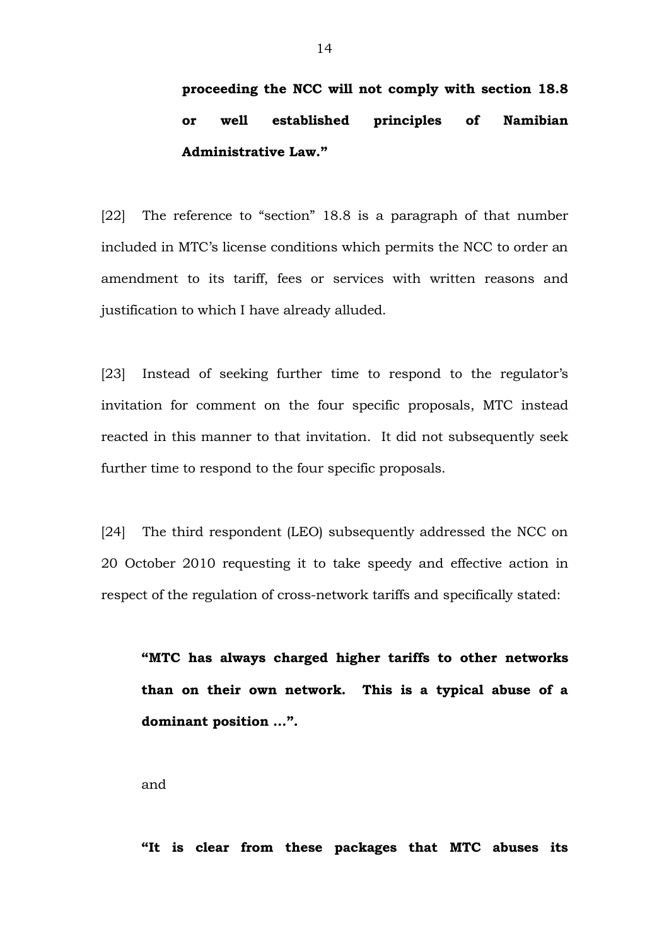# **proceeding the NCC will not comply with section 18.8 or well established principles of Namibian Administrative Law."**

[22] The reference to "section" 18.8 is a paragraph of that number included in MTC's license conditions which permits the NCC to order an amendment to its tariff, fees or services with written reasons and justification to which I have already alluded.

[23] Instead of seeking further time to respond to the regulator's invitation for comment on the four specific proposals, MTC instead reacted in this manner to that invitation. It did not subsequently seek further time to respond to the four specific proposals.

[24] The third respondent (LEO) subsequently addressed the NCC on 20 October 2010 requesting it to take speedy and effective action in respect of the regulation of cross-network tariffs and specifically stated:

**"MTC has always charged higher tariffs to other networks than on their own network. This is a typical abuse of a dominant position …".** 

and

**"It is clear from these packages that MTC abuses its**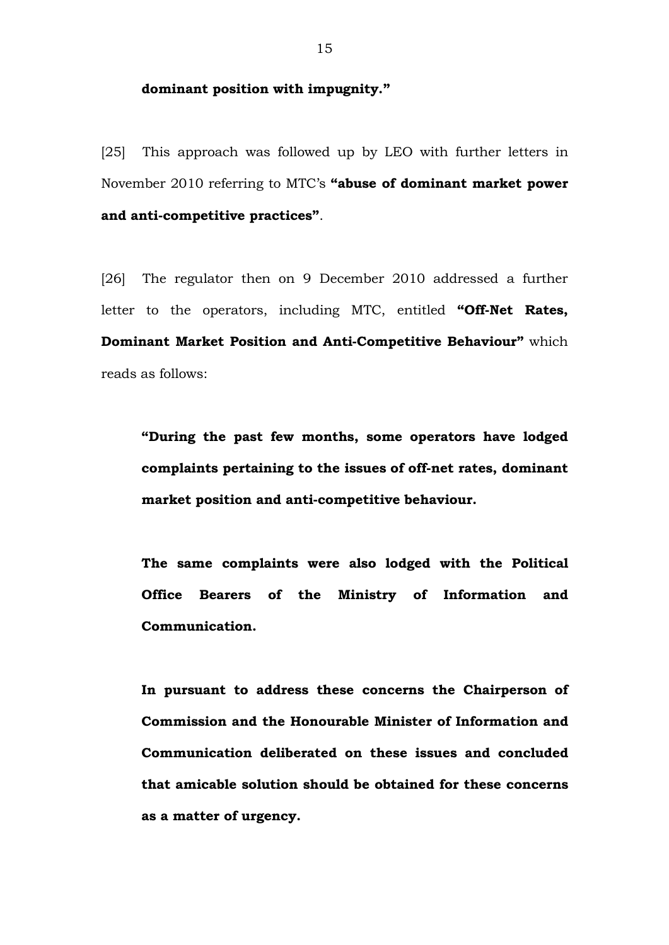#### **dominant position with impugnity."**

[25] This approach was followed up by LEO with further letters in November 2010 referring to MTC's **"abuse of dominant market power**  and anti-competitive practices".

[26] The regulator then on 9 December 2010 addressed a further letter to the operators, including MTC, entitled "Off-Net Rates, **Dominant Market Position and Anti-Competitive Behaviour"** which reads as follows:

**"During the past few months, some operators have lodged**  complaints pertaining to the issues of off-net rates, dominant **market position and anticompetitive behaviour.** 

**The same complaints were also lodged with the Political Office Bearers of the Ministry of Information and Communication.** 

**In pursuant to address these concerns the Chairperson of Commission and the Honourable Minister of Information and Communication deliberated on these issues and concluded that amicable solution should be obtained for these concerns as a matter of urgency.**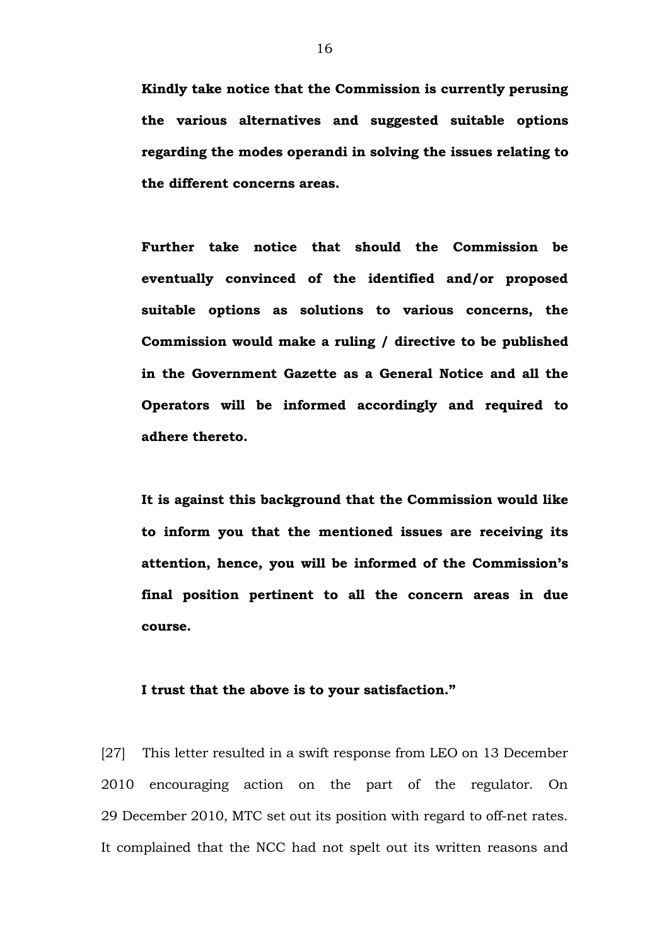**Kindly take notice that the Commission is currently perusing the various alternatives and suggested suitable options regarding the modes operandi in solving the issues relating to the different concerns areas.** 

**Further take notice that should the Commission be eventually convinced of the identified and/or proposed suitable options as solutions to various concerns, the Commission would make a ruling / directive to be published in the Government Gazette as a General Notice and all the Operators will be informed accordingly and required to adhere thereto.** 

**It is against this background that the Commission would like to inform you that the mentioned issues are receiving its attention, hence, you will be informed of the Commission's final position pertinent to all the concern areas in due course.** 

#### **I trust that the above is to your satisfaction."**

[27] This letter resulted in a swift response from LEO on 13 December 2010 encouraging action on the part of the regulator. On 29 December 2010, MTC set out its position with regard to off-net rates. It complained that the NCC had not spelt out its written reasons and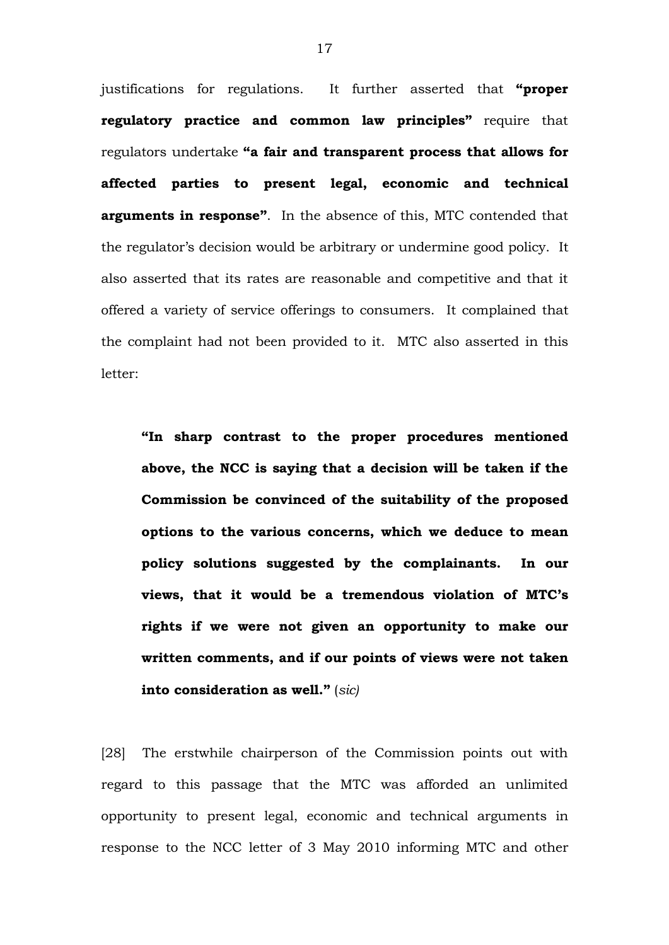justifications for regulations. It further asserted that **"proper regulatory practice and common law principles"** require that regulators undertake **"a fair and transparent process that allows for affected parties to present legal, economic and technical arguments in response"**. In the absence of this, MTC contended that the regulator's decision would be arbitrary or undermine good policy. It also asserted that its rates are reasonable and competitive and that it offered a variety of service offerings to consumers. It complained that the complaint had not been provided to it. MTC also asserted in this letter:

**"In sharp contrast to the proper procedures mentioned above, the NCC is saying that a decision will be taken if the Commission be convinced of the suitability of the proposed options to the various concerns, which we deduce to mean policy solutions suggested by the complainants. In our views, that it would be a tremendous violation of MTC's rights if we were not given an opportunity to make our written comments, and if our points of views were not taken into consideration as well."** (*sic)*

[28] The erstwhile chairperson of the Commission points out with regard to this passage that the MTC was afforded an unlimited opportunity to present legal, economic and technical arguments in response to the NCC letter of 3 May 2010 informing MTC and other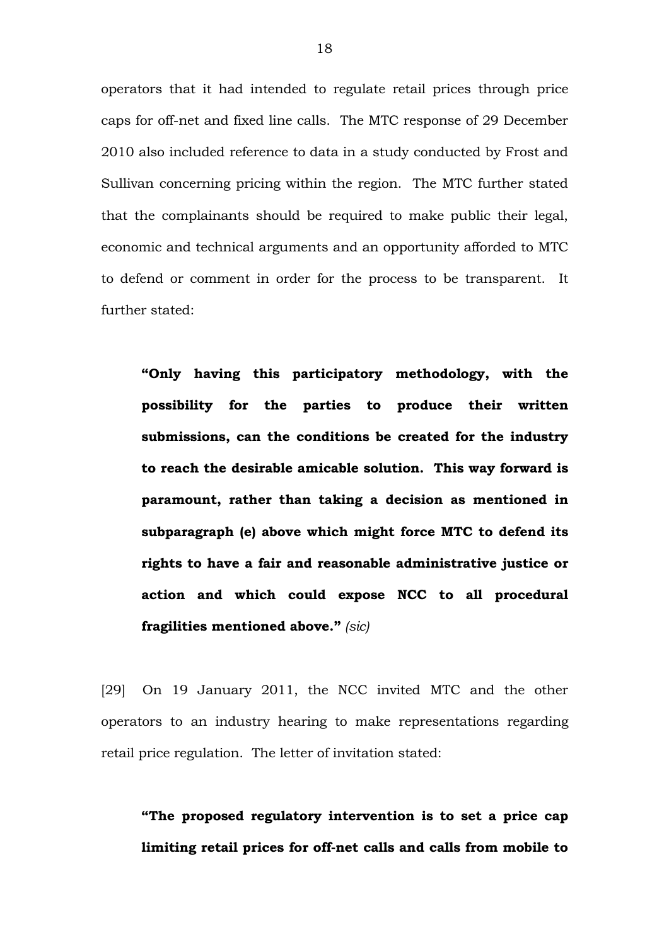operators that it had intended to regulate retail prices through price caps for off-net and fixed line calls. The MTC response of 29 December 2010 also included reference to data in a study conducted by Frost and Sullivan concerning pricing within the region. The MTC further stated that the complainants should be required to make public their legal, economic and technical arguments and an opportunity afforded to MTC to defend or comment in order for the process to be transparent. It further stated:

**"Only having this participatory methodology, with the possibility for the parties to produce their written submissions, can the conditions be created for the industry to reach the desirable amicable solution. This way forward is paramount, rather than taking a decision as mentioned in subparagraph (e) above which might force MTC to defend its rights to have a fair and reasonable administrative justice or action and which could expose NCC to all procedural fragilities mentioned above."** *(sic)*

[29] On 19 January 2011, the NCC invited MTC and the other operators to an industry hearing to make representations regarding retail price regulation. The letter of invitation stated:

**"The proposed regulatory intervention is to set a price cap**  limiting retail prices for off-net calls and calls from mobile to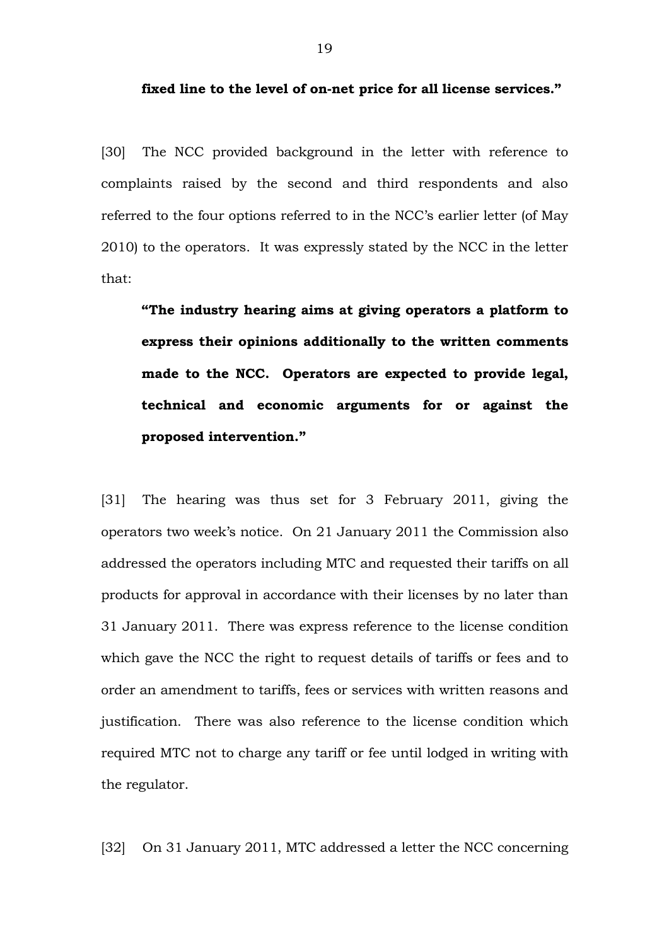fixed line to the level of on-net price for all license services."

[30] The NCC provided background in the letter with reference to complaints raised by the second and third respondents and also referred to the four options referred to in the NCC's earlier letter (of May 2010) to the operators. It was expressly stated by the NCC in the letter that:

**"The industry hearing aims at giving operators a platform to express their opinions additionally to the written comments made to the NCC. Operators are expected to provide legal, technical and economic arguments for or against the proposed intervention."**

[31] The hearing was thus set for 3 February 2011, giving the operators two week's notice. On 21 January 2011 the Commission also addressed the operators including MTC and requested their tariffs on all products for approval in accordance with their licenses by no later than 31 January 2011. There was express reference to the license condition which gave the NCC the right to request details of tariffs or fees and to order an amendment to tariffs, fees or services with written reasons and justification. There was also reference to the license condition which required MTC not to charge any tariff or fee until lodged in writing with the regulator.

[32] On 31 January 2011, MTC addressed a letter the NCC concerning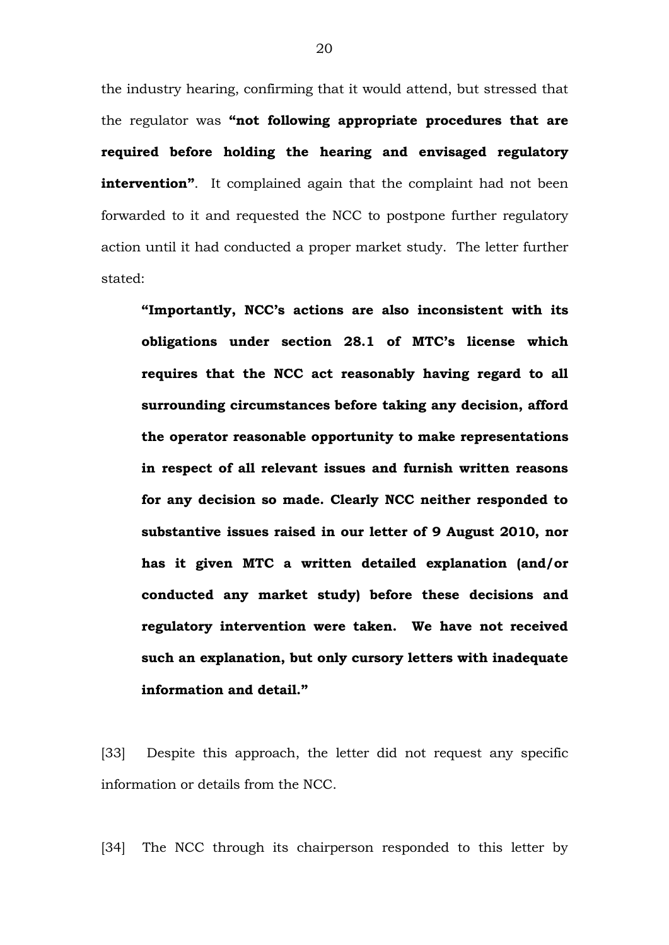the industry hearing, confirming that it would attend, but stressed that the regulator was **"not following appropriate procedures that are required before holding the hearing and envisaged regulatory intervention".** It complained again that the complaint had not been forwarded to it and requested the NCC to postpone further regulatory action until it had conducted a proper market study. The letter further stated:

**"Importantly, NCC's actions are also inconsistent with its obligations under section 28.1 of MTC's license which requires that the NCC act reasonably having regard to all surrounding circumstances before taking any decision, afford the operator reasonable opportunity to make representations in respect of all relevant issues and furnish written reasons for any decision so made. Clearly NCC neither responded to substantive issues raised in our letter of 9 August 2010, nor has it given MTC a written detailed explanation (and/or conducted any market study) before these decisions and regulatory intervention were taken. We have not received such an explanation, but only cursory letters with inadequate information and detail."**

[33] Despite this approach, the letter did not request any specific information or details from the NCC.

[34] The NCC through its chairperson responded to this letter by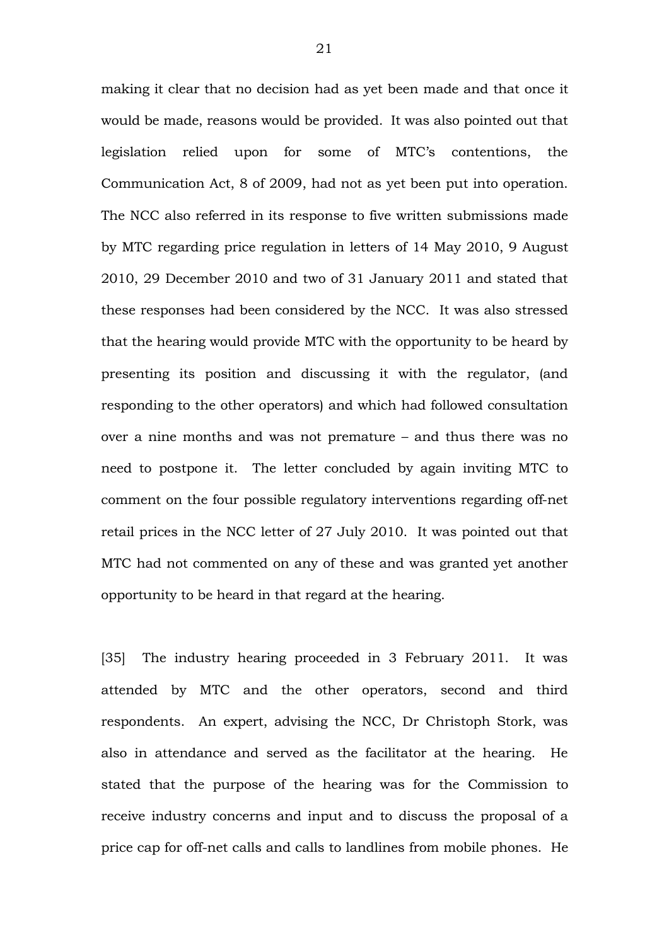making it clear that no decision had as yet been made and that once it would be made, reasons would be provided. It was also pointed out that legislation relied upon for some of MTC's contentions, the Communication Act, 8 of 2009, had not as yet been put into operation. The NCC also referred in its response to five written submissions made by MTC regarding price regulation in letters of 14 May 2010, 9 August 2010, 29 December 2010 and two of 31 January 2011 and stated that these responses had been considered by the NCC. It was also stressed that the hearing would provide MTC with the opportunity to be heard by presenting its position and discussing it with the regulator, (and responding to the other operators) and which had followed consultation over a nine months and was not premature – and thus there was no need to postpone it. The letter concluded by again inviting MTC to comment on the four possible regulatory interventions regarding off-net retail prices in the NCC letter of 27 July 2010. It was pointed out that MTC had not commented on any of these and was granted yet another opportunity to be heard in that regard at the hearing.

[35] The industry hearing proceeded in 3 February 2011. It was attended by MTC and the other operators, second and third respondents. An expert, advising the NCC, Dr Christoph Stork, was also in attendance and served as the facilitator at the hearing. He stated that the purpose of the hearing was for the Commission to receive industry concerns and input and to discuss the proposal of a price cap for off-net calls and calls to landlines from mobile phones. He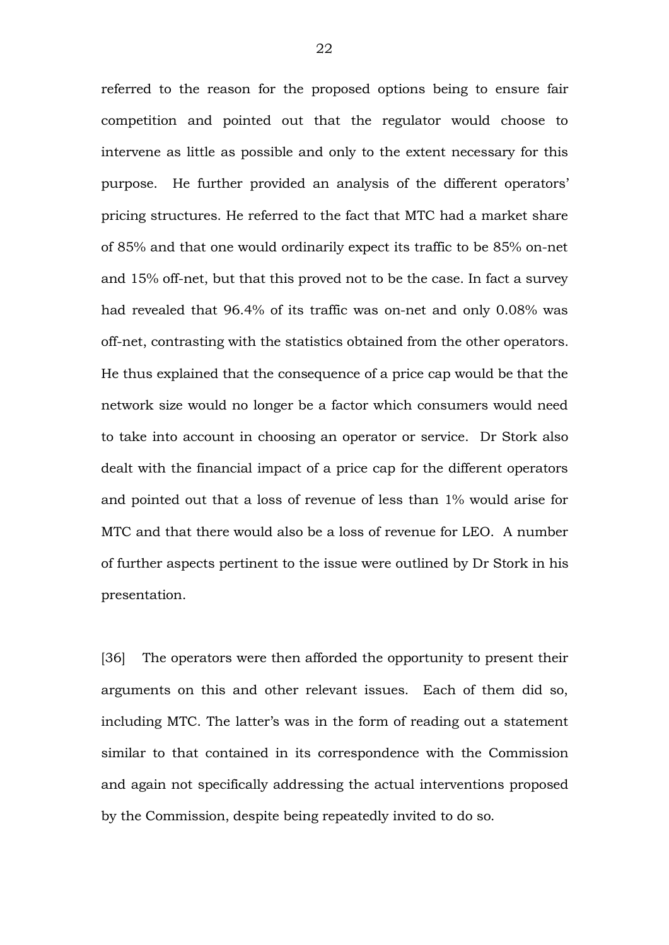referred to the reason for the proposed options being to ensure fair competition and pointed out that the regulator would choose to intervene as little as possible and only to the extent necessary for this purpose. He further provided an analysis of the different operators' pricing structures. He referred to the fact that MTC had a market share of 85% and that one would ordinarily expect its traffic to be 85% on-net and 15% off-net, but that this proved not to be the case. In fact a survey had revealed that 96.4% of its traffic was on-net and only 0.08% was off-net, contrasting with the statistics obtained from the other operators. He thus explained that the consequence of a price cap would be that the network size would no longer be a factor which consumers would need to take into account in choosing an operator or service. Dr Stork also dealt with the financial impact of a price cap for the different operators and pointed out that a loss of revenue of less than 1% would arise for MTC and that there would also be a loss of revenue for LEO. A number of further aspects pertinent to the issue were outlined by Dr Stork in his presentation.

[36] The operators were then afforded the opportunity to present their arguments on this and other relevant issues. Each of them did so, including MTC. The latter's was in the form of reading out a statement similar to that contained in its correspondence with the Commission and again not specifically addressing the actual interventions proposed by the Commission, despite being repeatedly invited to do so.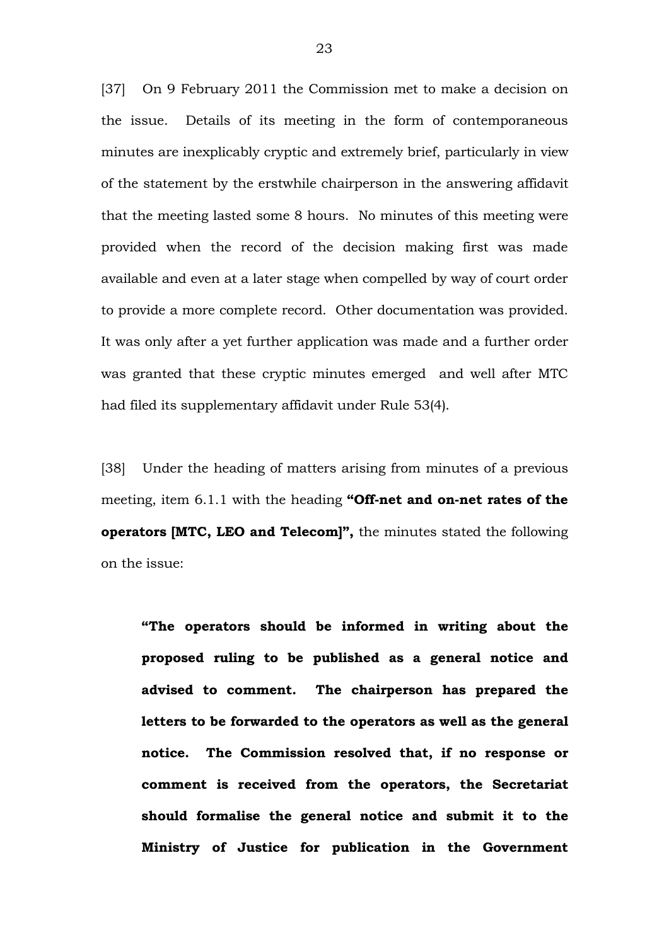[37] On 9 February 2011 the Commission met to make a decision on the issue. Details of its meeting in the form of contemporaneous minutes are inexplicably cryptic and extremely brief, particularly in view of the statement by the erstwhile chairperson in the answering affidavit that the meeting lasted some 8 hours. No minutes of this meeting were provided when the record of the decision making first was made available and even at a later stage when compelled by way of court order to provide a more complete record. Other documentation was provided. It was only after a yet further application was made and a further order was granted that these cryptic minutes emerged and well after MTC had filed its supplementary affidavit under Rule 53(4).

[38] Under the heading of matters arising from minutes of a previous meeting, item 6.1.1 with the heading "Off-net and on-net rates of the **operators [MTC, LEO and Telecom]",** the minutes stated the following on the issue:

**"The operators should be informed in writing about the proposed ruling to be published as a general notice and advised to comment. The chairperson has prepared the letters to be forwarded to the operators as well as the general notice. The Commission resolved that, if no response or comment is received from the operators, the Secretariat should formalise the general notice and submit it to the Ministry of Justice for publication in the Government**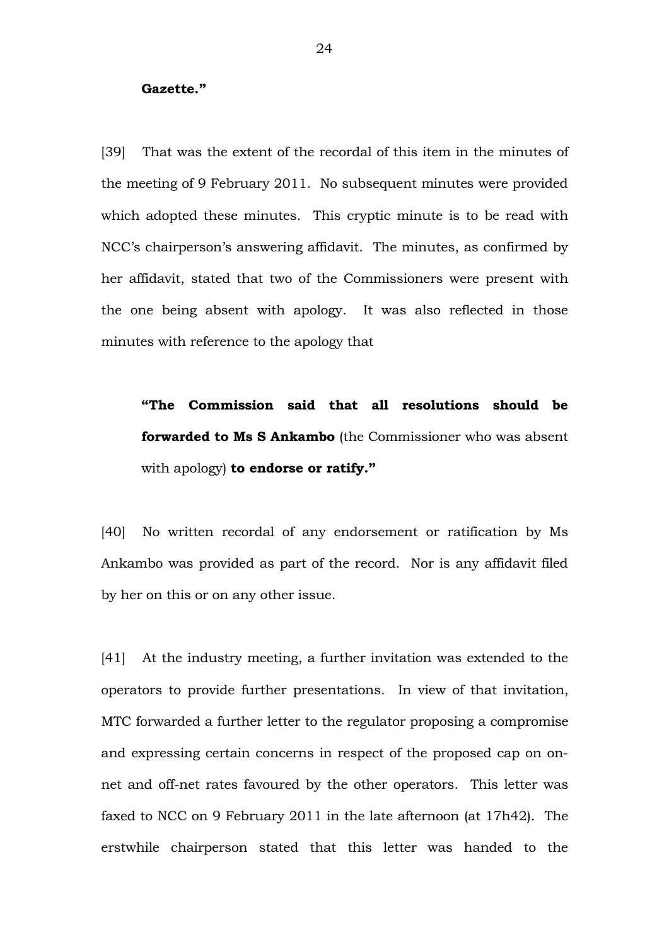#### **Gazette."**

[39] That was the extent of the recordal of this item in the minutes of the meeting of 9 February 2011. No subsequent minutes were provided which adopted these minutes. This cryptic minute is to be read with NCC's chairperson's answering affidavit. The minutes, as confirmed by her affidavit, stated that two of the Commissioners were present with the one being absent with apology. It was also reflected in those minutes with reference to the apology that

**"The Commission said that all resolutions should be forwarded to Ms S Ankambo** (the Commissioner who was absent with apology) **to endorse or ratify."**

[40] No written recordal of any endorsement or ratification by Ms Ankambo was provided as part of the record. Nor is any affidavit filed by her on this or on any other issue.

[41] At the industry meeting, a further invitation was extended to the operators to provide further presentations. In view of that invitation, MTC forwarded a further letter to the regulator proposing a compromise and expressing certain concerns in respect of the proposed cap on onnet and off-net rates favoured by the other operators. This letter was faxed to NCC on 9 February 2011 in the late afternoon (at 17h42). The erstwhile chairperson stated that this letter was handed to the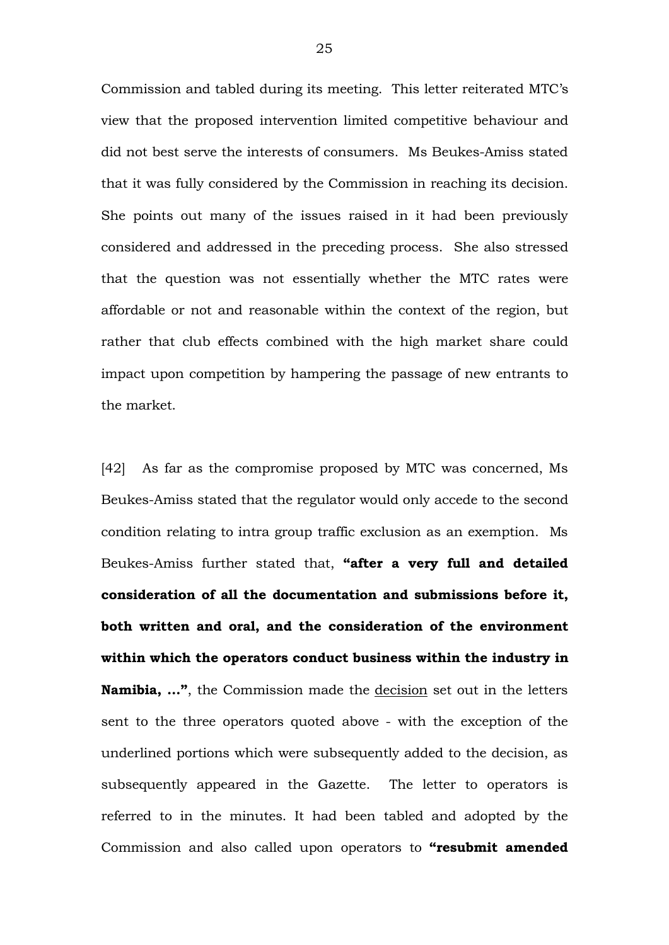Commission and tabled during its meeting. This letter reiterated MTC's view that the proposed intervention limited competitive behaviour and did not best serve the interests of consumers. Ms Beukes-Amiss stated that it was fully considered by the Commission in reaching its decision. She points out many of the issues raised in it had been previously considered and addressed in the preceding process. She also stressed that the question was not essentially whether the MTC rates were affordable or not and reasonable within the context of the region, but rather that club effects combined with the high market share could impact upon competition by hampering the passage of new entrants to the market.

[42] As far as the compromise proposed by MTC was concerned, Ms BeukesAmiss stated that the regulator would only accede to the second condition relating to intra group traffic exclusion as an exemption. Ms BeukesAmiss further stated that, **"after a very full and detailed consideration of all the documentation and submissions before it, both written and oral, and the consideration of the environment within which the operators conduct business within the industry in Namibia, …"**, the Commission made the decision set out in the letters sent to the three operators quoted above - with the exception of the underlined portions which were subsequently added to the decision, as subsequently appeared in the Gazette. The letter to operators is referred to in the minutes. It had been tabled and adopted by the Commission and also called upon operators to **"resubmit amended**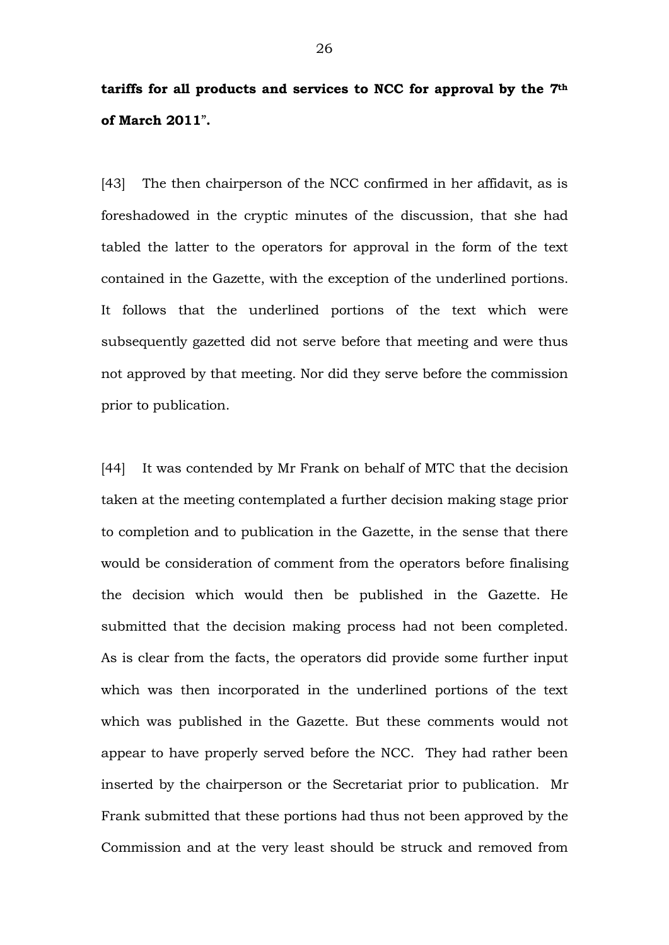## **tariffs for all products and services to NCC for approval by the 7th of March 2011**"**.**

[43] The then chairperson of the NCC confirmed in her affidavit, as is foreshadowed in the cryptic minutes of the discussion, that she had tabled the latter to the operators for approval in the form of the text contained in the Gazette, with the exception of the underlined portions. It follows that the underlined portions of the text which were subsequently gazetted did not serve before that meeting and were thus not approved by that meeting. Nor did they serve before the commission prior to publication.

[44] It was contended by Mr Frank on behalf of MTC that the decision taken at the meeting contemplated a further decision making stage prior to completion and to publication in the Gazette, in the sense that there would be consideration of comment from the operators before finalising the decision which would then be published in the Gazette. He submitted that the decision making process had not been completed. As is clear from the facts, the operators did provide some further input which was then incorporated in the underlined portions of the text which was published in the Gazette. But these comments would not appear to have properly served before the NCC. They had rather been inserted by the chairperson or the Secretariat prior to publication. Mr Frank submitted that these portions had thus not been approved by the Commission and at the very least should be struck and removed from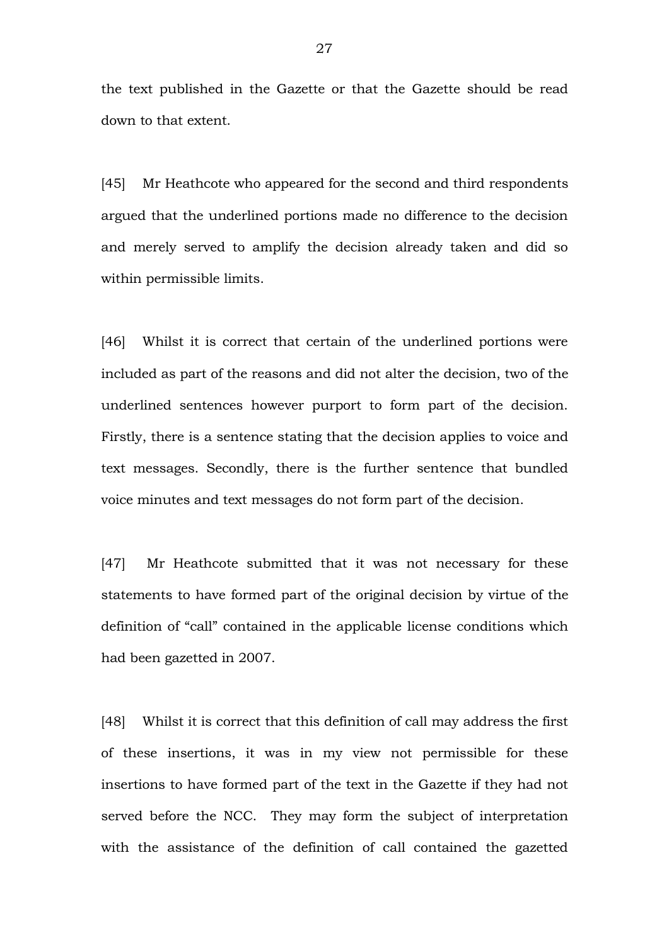the text published in the Gazette or that the Gazette should be read down to that extent.

[45] Mr Heathcote who appeared for the second and third respondents argued that the underlined portions made no difference to the decision and merely served to amplify the decision already taken and did so within permissible limits.

[46] Whilst it is correct that certain of the underlined portions were included as part of the reasons and did not alter the decision, two of the underlined sentences however purport to form part of the decision. Firstly, there is a sentence stating that the decision applies to voice and text messages. Secondly, there is the further sentence that bundled voice minutes and text messages do not form part of the decision.

[47] Mr Heathcote submitted that it was not necessary for these statements to have formed part of the original decision by virtue of the definition of "call" contained in the applicable license conditions which had been gazetted in 2007.

[48] Whilst it is correct that this definition of call may address the first of these insertions, it was in my view not permissible for these insertions to have formed part of the text in the Gazette if they had not served before the NCC. They may form the subject of interpretation with the assistance of the definition of call contained the gazetted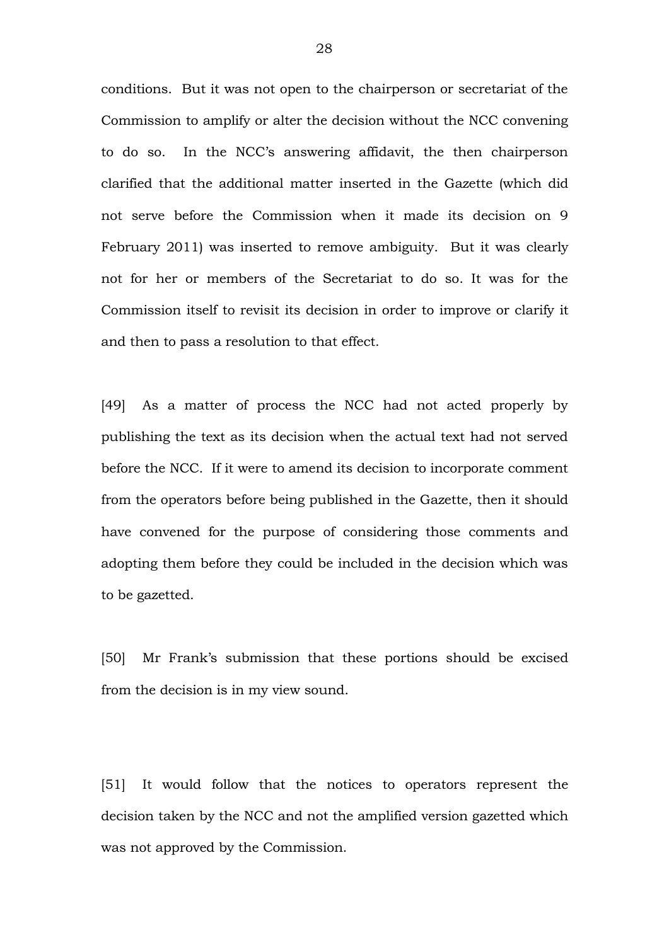conditions. But it was not open to the chairperson or secretariat of the Commission to amplify or alter the decision without the NCC convening to do so. In the NCC's answering affidavit, the then chairperson clarified that the additional matter inserted in the Gazette (which did not serve before the Commission when it made its decision on 9 February 2011) was inserted to remove ambiguity. But it was clearly not for her or members of the Secretariat to do so. It was for the Commission itself to revisit its decision in order to improve or clarify it and then to pass a resolution to that effect.

[49] As a matter of process the NCC had not acted properly by publishing the text as its decision when the actual text had not served before the NCC. If it were to amend its decision to incorporate comment from the operators before being published in the Gazette, then it should have convened for the purpose of considering those comments and adopting them before they could be included in the decision which was to be gazetted.

[50] Mr Frank's submission that these portions should be excised from the decision is in my view sound.

[51] It would follow that the notices to operators represent the decision taken by the NCC and not the amplified version gazetted which was not approved by the Commission.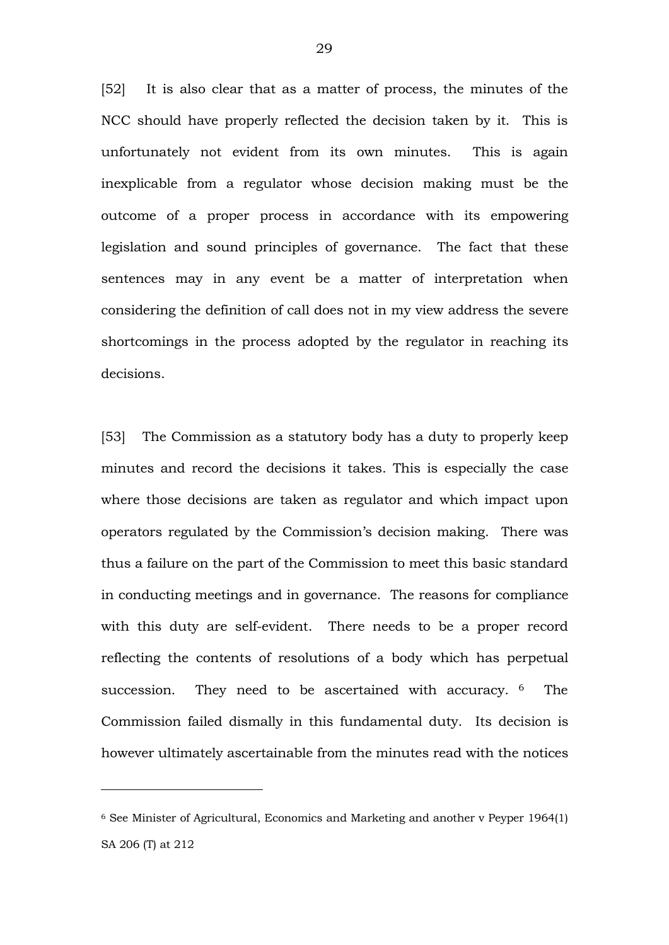[52] It is also clear that as a matter of process, the minutes of the NCC should have properly reflected the decision taken by it. This is unfortunately not evident from its own minutes. This is again inexplicable from a regulator whose decision making must be the outcome of a proper process in accordance with its empowering legislation and sound principles of governance. The fact that these sentences may in any event be a matter of interpretation when considering the definition of call does not in my view address the severe shortcomings in the process adopted by the regulator in reaching its decisions.

[53] The Commission as a statutory body has a duty to properly keep minutes and record the decisions it takes. This is especially the case where those decisions are taken as regulator and which impact upon operators regulated by the Commission's decision making. There was thus a failure on the part of the Commission to meet this basic standard in conducting meetings and in governance. The reasons for compliance with this duty are self-evident. There needs to be a proper record reflecting the contents of resolutions of a body which has perpetual succession. They need to be ascertained with accuracy. <sup>6</sup> The Commission failed dismally in this fundamental duty. Its decision is however ultimately ascertainable from the minutes read with the notices

<sup>6</sup> See Minister of Agricultural, Economics and Marketing and another v Peyper 1964(1) SA 206 (T) at 212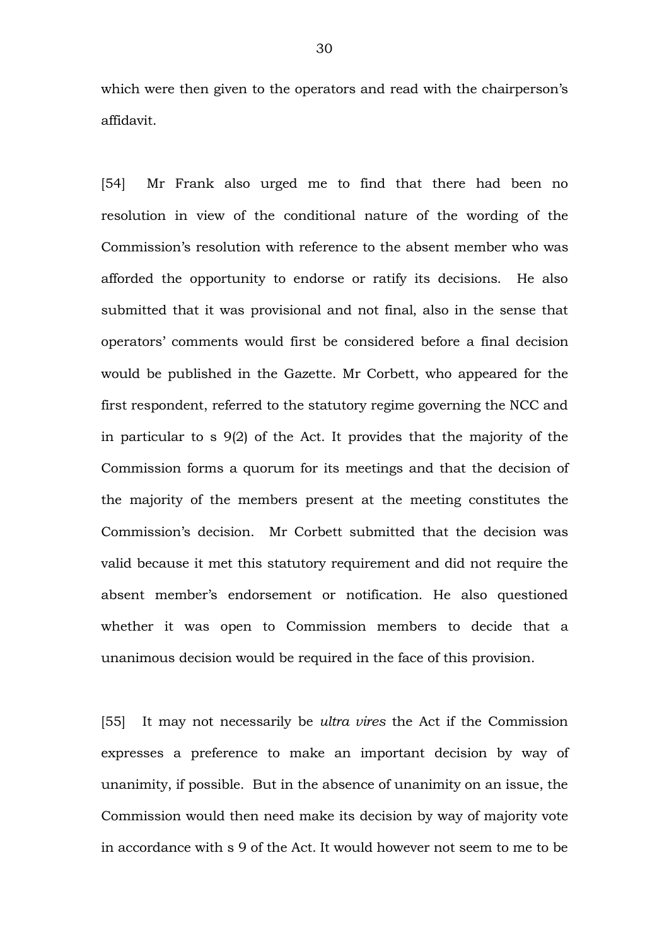which were then given to the operators and read with the chairperson's affidavit.

[54] Mr Frank also urged me to find that there had been no resolution in view of the conditional nature of the wording of the Commission's resolution with reference to the absent member who was afforded the opportunity to endorse or ratify its decisions. He also submitted that it was provisional and not final, also in the sense that operators' comments would first be considered before a final decision would be published in the Gazette. Mr Corbett, who appeared for the first respondent, referred to the statutory regime governing the NCC and in particular to s 9(2) of the Act. It provides that the majority of the Commission forms a quorum for its meetings and that the decision of the majority of the members present at the meeting constitutes the Commission's decision. Mr Corbett submitted that the decision was valid because it met this statutory requirement and did not require the absent member's endorsement or notification. He also questioned whether it was open to Commission members to decide that a unanimous decision would be required in the face of this provision.

[55] It may not necessarily be *ultra vires* the Act if the Commission expresses a preference to make an important decision by way of unanimity, if possible. But in the absence of unanimity on an issue, the Commission would then need make its decision by way of majority vote in accordance with s 9 of the Act. It would however not seem to me to be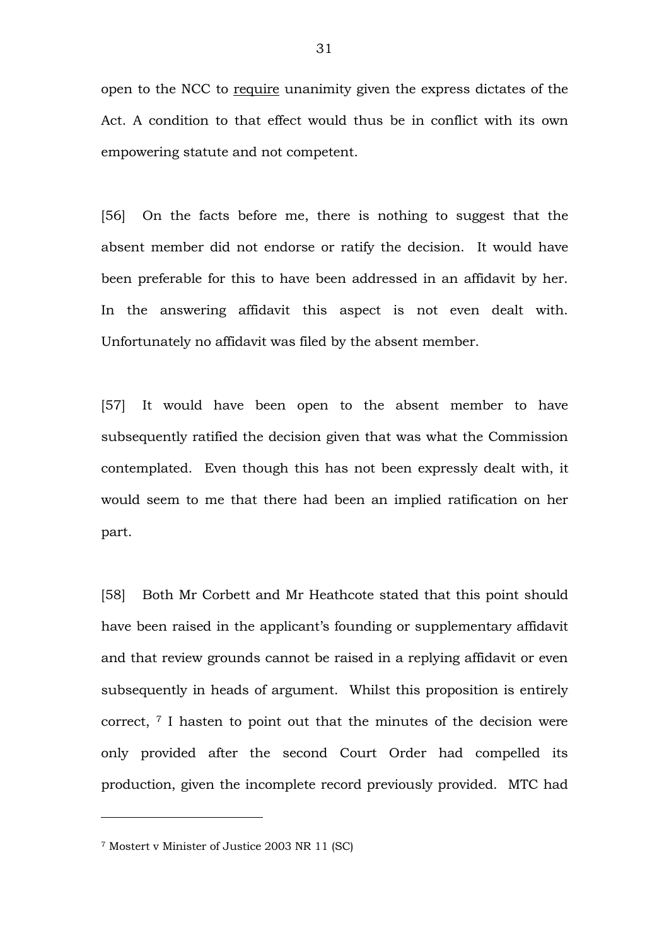open to the NCC to require unanimity given the express dictates of the Act. A condition to that effect would thus be in conflict with its own empowering statute and not competent.

[56] On the facts before me, there is nothing to suggest that the absent member did not endorse or ratify the decision. It would have been preferable for this to have been addressed in an affidavit by her. In the answering affidavit this aspect is not even dealt with. Unfortunately no affidavit was filed by the absent member.

[57] It would have been open to the absent member to have subsequently ratified the decision given that was what the Commission contemplated. Even though this has not been expressly dealt with, it would seem to me that there had been an implied ratification on her part.

[58] Both Mr Corbett and Mr Heathcote stated that this point should have been raised in the applicant's founding or supplementary affidavit and that review grounds cannot be raised in a replying affidavit or even subsequently in heads of argument. Whilst this proposition is entirely correct, <sup>7</sup> I hasten to point out that the minutes of the decision were only provided after the second Court Order had compelled its production, given the incomplete record previously provided. MTC had

<sup>7</sup> Mostert v Minister of Justice 2003 NR 11 (SC)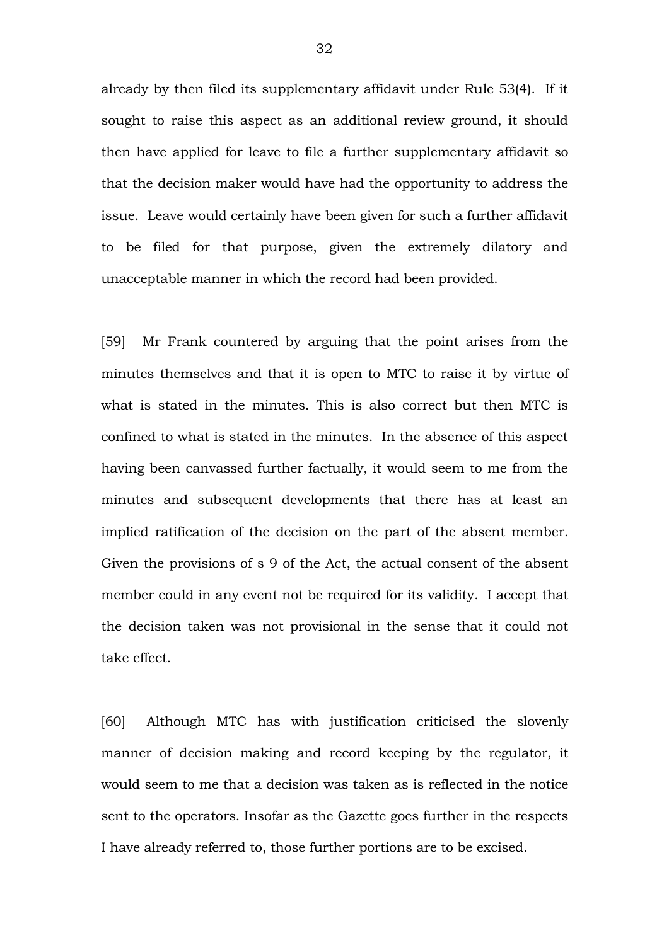already by then filed its supplementary affidavit under Rule 53(4). If it sought to raise this aspect as an additional review ground, it should then have applied for leave to file a further supplementary affidavit so that the decision maker would have had the opportunity to address the issue. Leave would certainly have been given for such a further affidavit to be filed for that purpose, given the extremely dilatory and unacceptable manner in which the record had been provided.

[59] Mr Frank countered by arguing that the point arises from the minutes themselves and that it is open to MTC to raise it by virtue of what is stated in the minutes. This is also correct but then MTC is confined to what is stated in the minutes. In the absence of this aspect having been canvassed further factually, it would seem to me from the minutes and subsequent developments that there has at least an implied ratification of the decision on the part of the absent member. Given the provisions of s 9 of the Act, the actual consent of the absent member could in any event not be required for its validity. I accept that the decision taken was not provisional in the sense that it could not take effect.

[60] Although MTC has with justification criticised the slovenly manner of decision making and record keeping by the regulator, it would seem to me that a decision was taken as is reflected in the notice sent to the operators. Insofar as the Gazette goes further in the respects I have already referred to, those further portions are to be excised.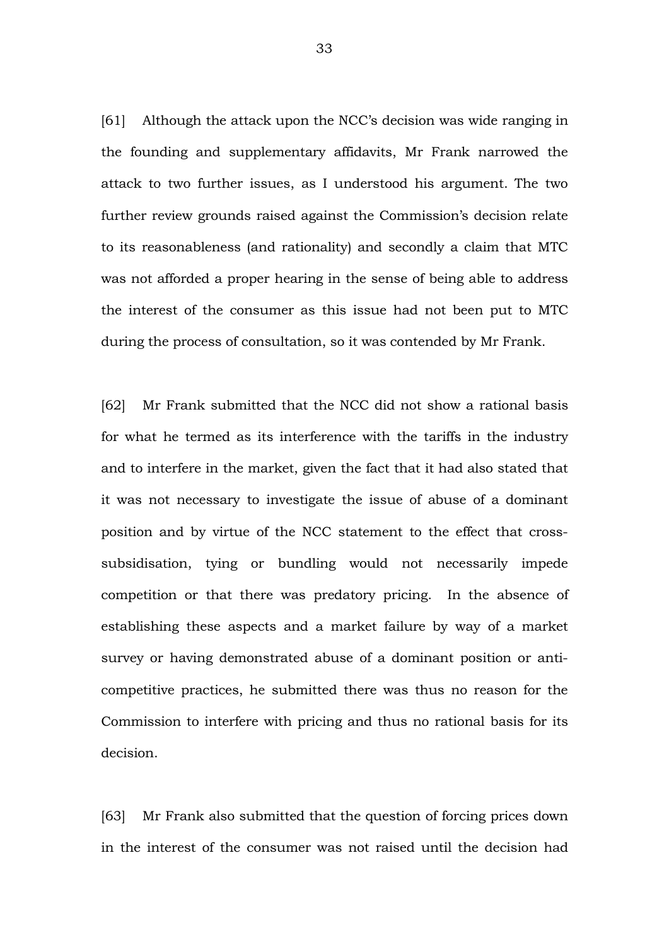[61] Although the attack upon the NCC's decision was wide ranging in the founding and supplementary affidavits, Mr Frank narrowed the attack to two further issues, as I understood his argument. The two further review grounds raised against the Commission's decision relate to its reasonableness (and rationality) and secondly a claim that MTC was not afforded a proper hearing in the sense of being able to address the interest of the consumer as this issue had not been put to MTC during the process of consultation, so it was contended by Mr Frank.

[62] Mr Frank submitted that the NCC did not show a rational basis for what he termed as its interference with the tariffs in the industry and to interfere in the market, given the fact that it had also stated that it was not necessary to investigate the issue of abuse of a dominant position and by virtue of the NCC statement to the effect that crosssubsidisation, tying or bundling would not necessarily impede competition or that there was predatory pricing. In the absence of establishing these aspects and a market failure by way of a market survey or having demonstrated abuse of a dominant position or anticompetitive practices, he submitted there was thus no reason for the Commission to interfere with pricing and thus no rational basis for its decision.

[63] Mr Frank also submitted that the question of forcing prices down in the interest of the consumer was not raised until the decision had

33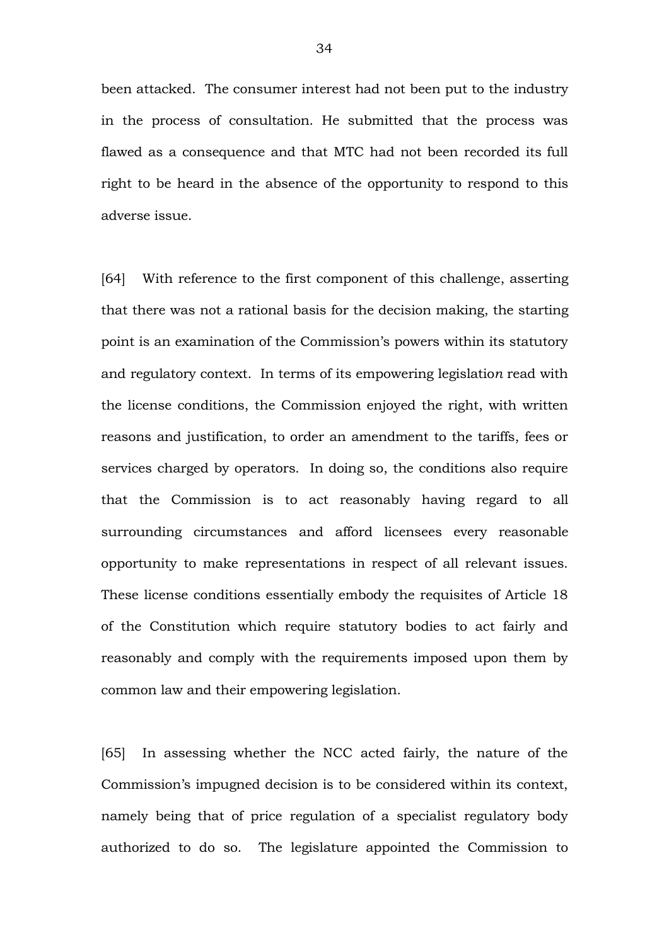been attacked. The consumer interest had not been put to the industry in the process of consultation. He submitted that the process was flawed as a consequence and that MTC had not been recorded its full right to be heard in the absence of the opportunity to respond to this adverse issue.

[64] With reference to the first component of this challenge, asserting that there was not a rational basis for the decision making, the starting point is an examination of the Commission's powers within its statutory and regulatory context. In terms of its empowering legislatio*n* read with the license conditions, the Commission enjoyed the right, with written reasons and justification, to order an amendment to the tariffs, fees or services charged by operators. In doing so, the conditions also require that the Commission is to act reasonably having regard to all surrounding circumstances and afford licensees every reasonable opportunity to make representations in respect of all relevant issues. These license conditions essentially embody the requisites of Article 18 of the Constitution which require statutory bodies to act fairly and reasonably and comply with the requirements imposed upon them by common law and their empowering legislation.

[65] In assessing whether the NCC acted fairly, the nature of the Commission's impugned decision is to be considered within its context, namely being that of price regulation of a specialist regulatory body authorized to do so. The legislature appointed the Commission to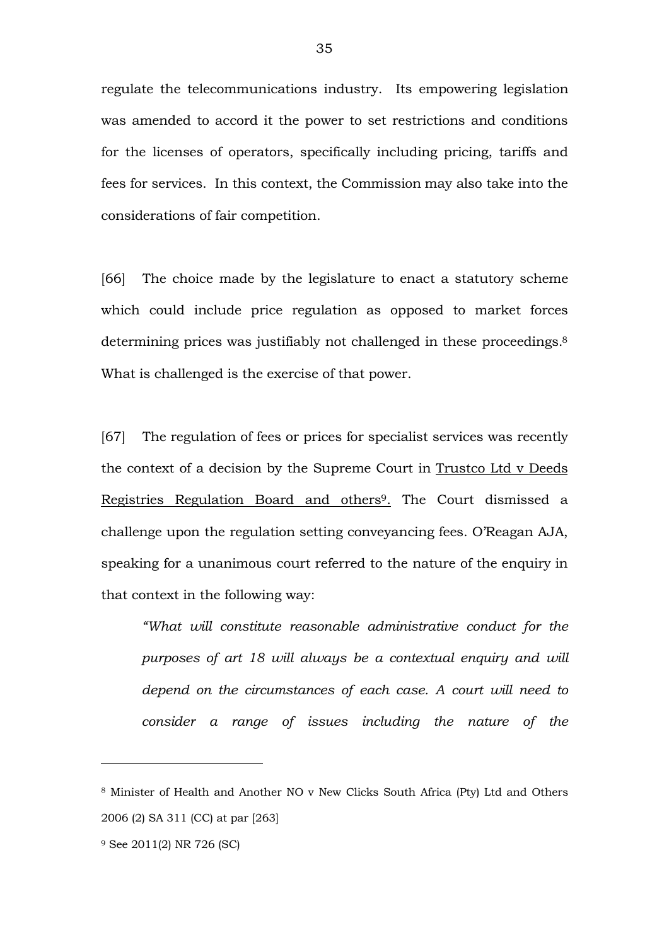regulate the telecommunications industry. Its empowering legislation was amended to accord it the power to set restrictions and conditions for the licenses of operators, specifically including pricing, tariffs and fees for services. In this context, the Commission may also take into the considerations of fair competition.

[66] The choice made by the legislature to enact a statutory scheme which could include price regulation as opposed to market forces determining prices was justifiably not challenged in these proceedings.<sup>8</sup> What is challenged is the exercise of that power.

[67] The regulation of fees or prices for specialist services was recently the context of a decision by the Supreme Court in Trustco Ltd v Deeds Registries Regulation Board and others9. The Court dismissed a challenge upon the regulation setting conveyancing fees. O'Reagan AJA, speaking for a unanimous court referred to the nature of the enquiry in that context in the following way:

*"What will constitute reasonable administrative conduct for the purposes of art 18 will always be a contextual enquiry and will depend on the circumstances of each case. A court will need to consider a range of issues including the nature of the* 

<sup>8</sup> Minister of Health and Another NO v New Clicks South Africa (Pty) Ltd and Others 2006 (2) SA 311 (CC) at par [263]

<sup>9</sup> See 2011(2) NR 726 (SC)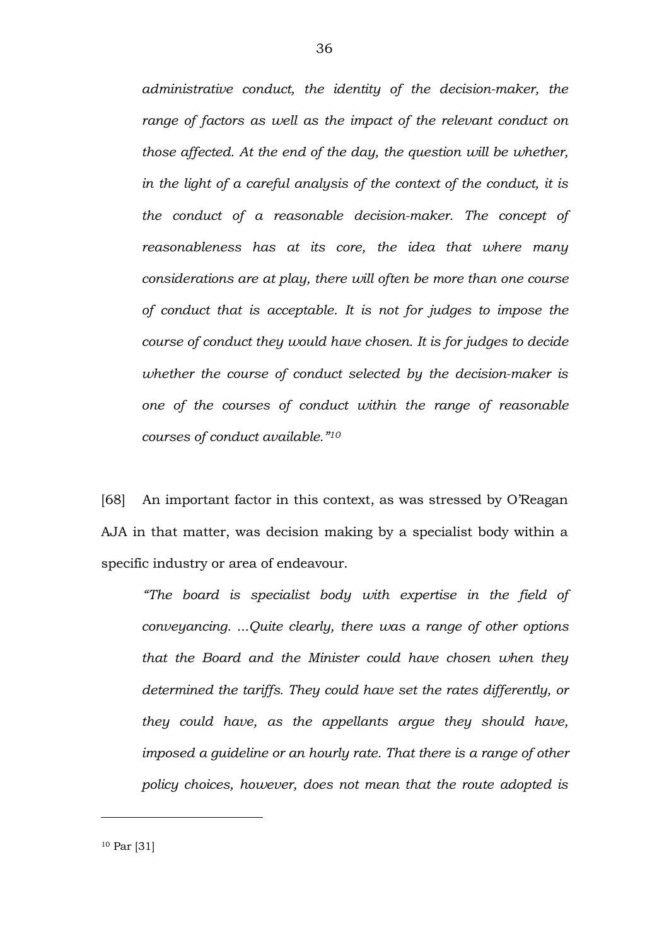*administrative conduct, the identity of the decision-maker, the* range of factors as well as the impact of the relevant conduct on *those affected. At the end of the day, the question will be whether, in the light of a careful analysis of the context of the conduct, it is the conduct of a reasonable decision-maker. The concept of reasonableness has at its core, the idea that where many considerations are at play, there will often be more than one course of conduct that is acceptable. It is not for judges to impose the course of conduct they would have chosen. It is for judges to decide whether the course of conduct selected by the decision-maker is one of the courses of conduct within the range of reasonable courses of conduct available."10* 

[68] An important factor in this context, as was stressed by O'Reagan AJA in that matter, was decision making by a specialist body within a specific industry or area of endeavour.

*"The board is specialist body with expertise in the field of conveyancing. ...Quite clearly, there was a range of other options that the Board and the Minister could have chosen when they determined the tariffs. They could have set the rates differently, or they could have, as the appellants argue they should have, imposed a guideline or an hourly rate. That there is a range of other policy choices, however, does not mean that the route adopted is* 

<sup>10</sup> Par [31]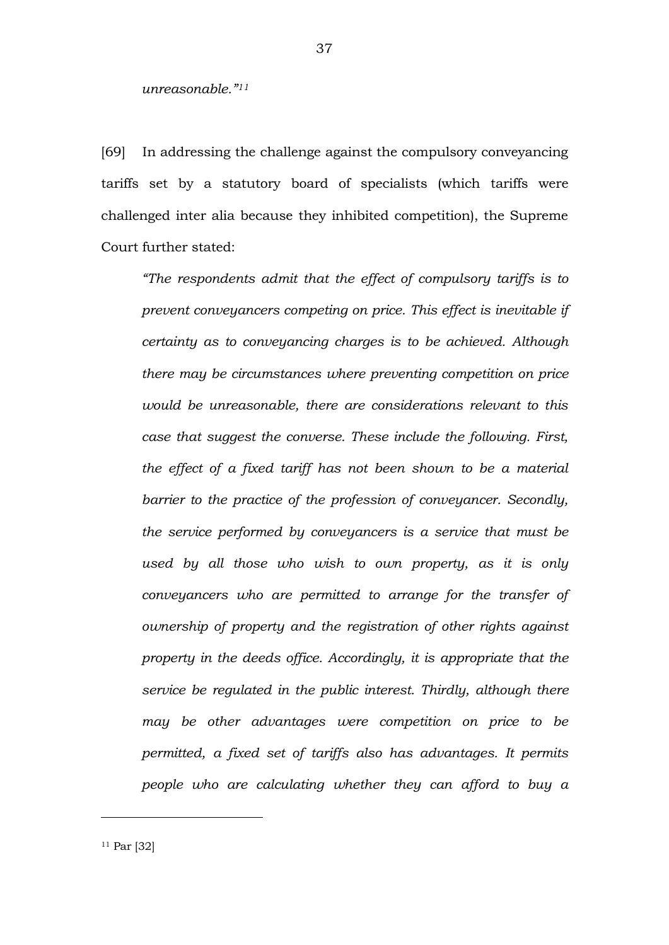#### *unreasonable."11*

[69] In addressing the challenge against the compulsory conveyancing tariffs set by a statutory board of specialists (which tariffs were challenged inter alia because they inhibited competition), the Supreme Court further stated:

*"The respondents admit that the effect of compulsory tariffs is to prevent conveyancers competing on price. This effect is inevitable if certainty as to conveyancing charges is to be achieved. Although there may be circumstances where preventing competition on price would be unreasonable, there are considerations relevant to this case that suggest the converse. These include the following. First, the effect of a fixed tariff has not been shown to be a material barrier to the practice of the profession of conveyancer. Secondly, the service performed by conveyancers is a service that must be used by all those who wish to own property, as it is only conveyancers who are permitted to arrange for the transfer of ownership of property and the registration of other rights against property in the deeds office. Accordingly, it is appropriate that the service be regulated in the public interest. Thirdly, although there may be other advantages were competition on price to be permitted, a fixed set of tariffs also has advantages. It permits people who are calculating whether they can afford to buy a*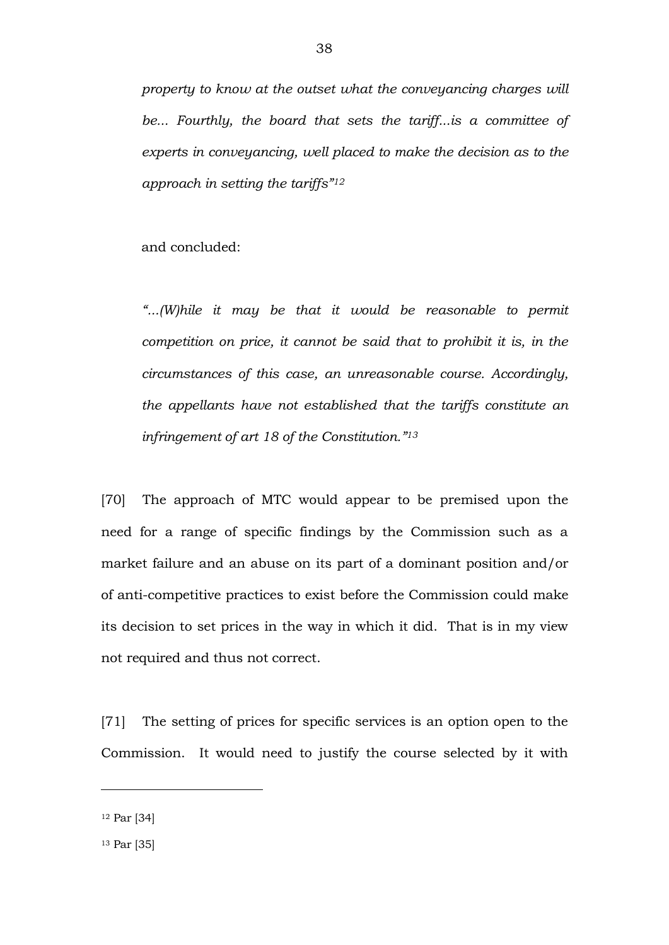*property to know at the outset what the conveyancing charges will be... Fourthly, the board that sets the tariff...is a committee of experts in conveyancing, well placed to make the decision as to the approach in setting the tariffs"12*

and concluded:

*"...(W)hile it may be that it would be reasonable to permit competition on price, it cannot be said that to prohibit it is, in the circumstances of this case, an unreasonable course. Accordingly, the appellants have not established that the tariffs constitute an infringement of art 18 of the Constitution."13*

[70] The approach of MTC would appear to be premised upon the need for a range of specific findings by the Commission such as a market failure and an abuse on its part of a dominant position and/or of anti-competitive practices to exist before the Commission could make its decision to set prices in the way in which it did. That is in my view not required and thus not correct.

[71] The setting of prices for specific services is an option open to the Commission. It would need to justify the course selected by it with

<sup>12</sup> Par [34]

<sup>13</sup> Par [35]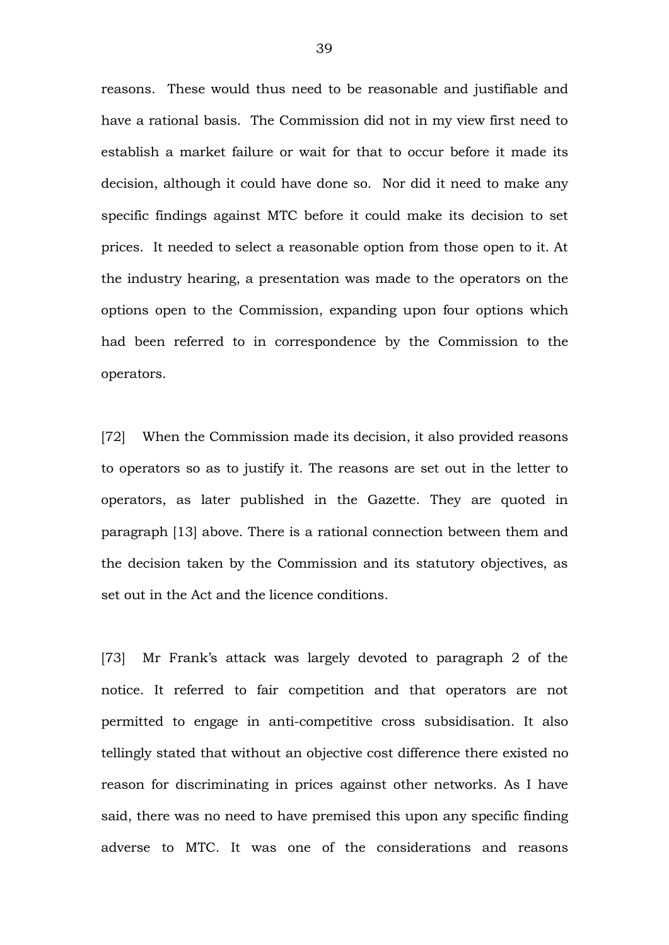reasons. These would thus need to be reasonable and justifiable and have a rational basis. The Commission did not in my view first need to establish a market failure or wait for that to occur before it made its decision, although it could have done so. Nor did it need to make any specific findings against MTC before it could make its decision to set prices. It needed to select a reasonable option from those open to it. At the industry hearing, a presentation was made to the operators on the options open to the Commission, expanding upon four options which had been referred to in correspondence by the Commission to the operators.

[72] When the Commission made its decision, it also provided reasons to operators so as to justify it. The reasons are set out in the letter to operators, as later published in the Gazette. They are quoted in paragraph [13] above. There is a rational connection between them and the decision taken by the Commission and its statutory objectives, as set out in the Act and the licence conditions.

[73] Mr Frank's attack was largely devoted to paragraph 2 of the notice. It referred to fair competition and that operators are not permitted to engage in anti-competitive cross subsidisation. It also tellingly stated that without an objective cost difference there existed no reason for discriminating in prices against other networks. As I have said, there was no need to have premised this upon any specific finding adverse to MTC. It was one of the considerations and reasons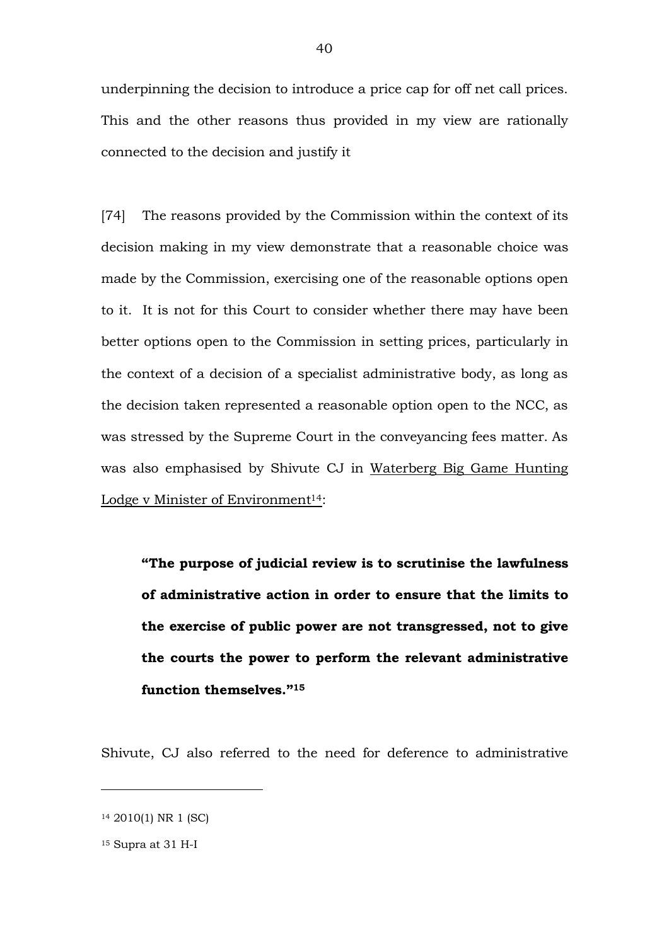underpinning the decision to introduce a price cap for off net call prices. This and the other reasons thus provided in my view are rationally connected to the decision and justify it

[74] The reasons provided by the Commission within the context of its decision making in my view demonstrate that a reasonable choice was made by the Commission, exercising one of the reasonable options open to it. It is not for this Court to consider whether there may have been better options open to the Commission in setting prices, particularly in the context of a decision of a specialist administrative body, as long as the decision taken represented a reasonable option open to the NCC, as was stressed by the Supreme Court in the conveyancing fees matter. As was also emphasised by Shivute CJ in Waterberg Big Game Hunting Lodge v Minister of Environment<sup>14</sup>:

**"The purpose of judicial review is to scrutinise the lawfulness of administrative action in order to ensure that the limits to the exercise of public power are not transgressed, not to give the courts the power to perform the relevant administrative function themselves."15**

Shivute, CJ also referred to the need for deference to administrative

<sup>14</sup> 2010(1) NR 1 (SC)

 $15$  Supra at 31 H-I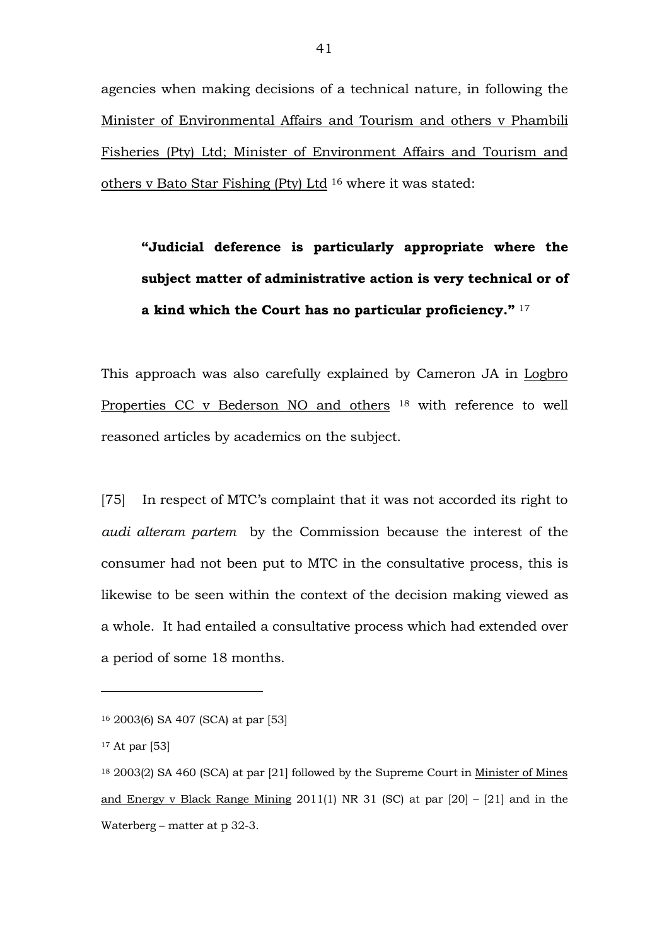agencies when making decisions of a technical nature, in following the Minister of Environmental Affairs and Tourism and others v Phambili Fisheries (Pty) Ltd; Minister of Environment Affairs and Tourism and others v Bato Star Fishing (Pty) Ltd <sup>16</sup> where it was stated:

**"Judicial deference is particularly appropriate where the subject matter of administrative action is very technical or of a kind which the Court has no particular proficiency."** <sup>17</sup>

This approach was also carefully explained by Cameron JA in Logbro Properties CC v Bederson NO and others <sup>18</sup> with reference to well reasoned articles by academics on the subject.

[75] In respect of MTC's complaint that it was not accorded its right to *audi alteram partem* by the Commission because the interest of the consumer had not been put to MTC in the consultative process, this is likewise to be seen within the context of the decision making viewed as a whole. It had entailed a consultative process which had extended over a period of some 18 months.

<sup>16</sup> 2003(6) SA 407 (SCA) at par [53]

<sup>17</sup> At par [53]

<sup>18</sup> 2003(2) SA 460 (SCA) at par [21] followed by the Supreme Court in Minister of Mines and Energy v Black Range Mining 2011(1) NR 31 (SC) at par [20] – [21] and in the Waterberg – matter at  $p$  32-3.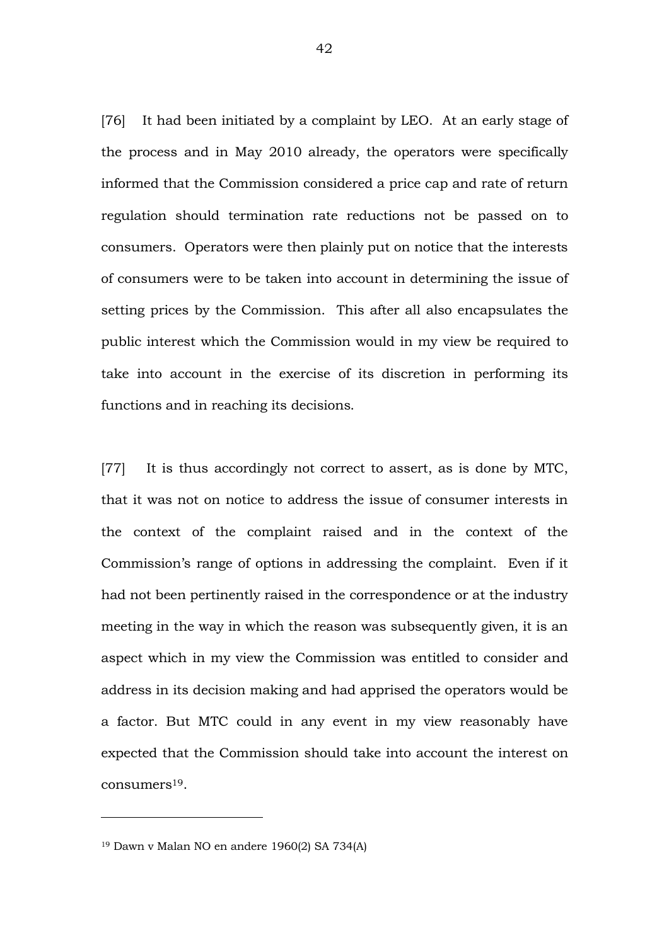[76] It had been initiated by a complaint by LEO. At an early stage of the process and in May 2010 already, the operators were specifically informed that the Commission considered a price cap and rate of return regulation should termination rate reductions not be passed on to consumers. Operators were then plainly put on notice that the interests of consumers were to be taken into account in determining the issue of setting prices by the Commission. This after all also encapsulates the public interest which the Commission would in my view be required to take into account in the exercise of its discretion in performing its functions and in reaching its decisions.

[77] It is thus accordingly not correct to assert, as is done by MTC, that it was not on notice to address the issue of consumer interests in the context of the complaint raised and in the context of the Commission's range of options in addressing the complaint. Even if it had not been pertinently raised in the correspondence or at the industry meeting in the way in which the reason was subsequently given, it is an aspect which in my view the Commission was entitled to consider and address in its decision making and had apprised the operators would be a factor. But MTC could in any event in my view reasonably have expected that the Commission should take into account the interest on consumers19.

<sup>19</sup> Dawn v Malan NO en andere 1960(2) SA 734(A)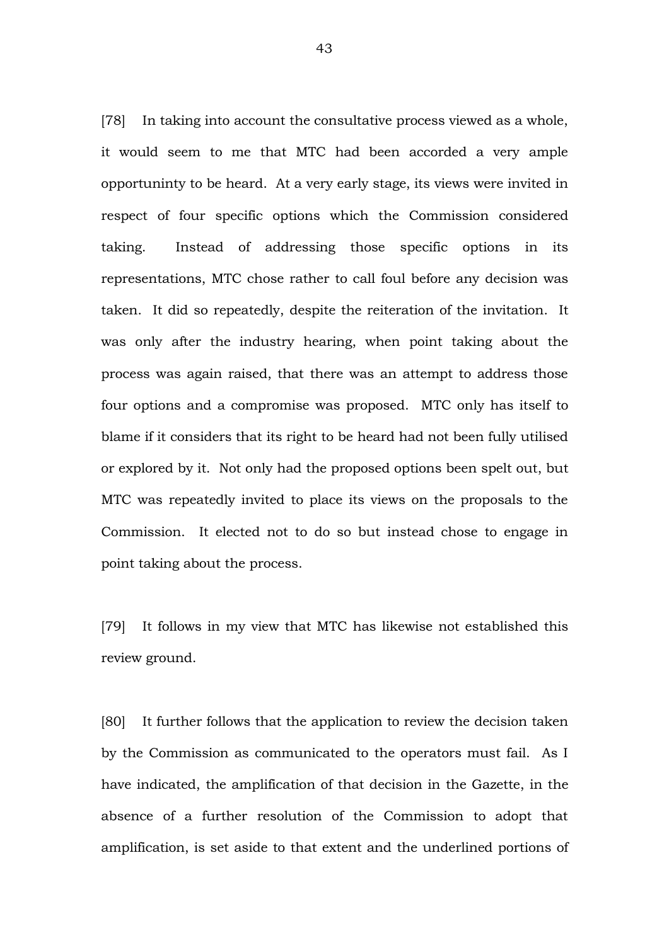[78] In taking into account the consultative process viewed as a whole, it would seem to me that MTC had been accorded a very ample opportuninty to be heard. At a very early stage, its views were invited in respect of four specific options which the Commission considered taking. Instead of addressing those specific options in its representations, MTC chose rather to call foul before any decision was taken. It did so repeatedly, despite the reiteration of the invitation. It was only after the industry hearing, when point taking about the process was again raised, that there was an attempt to address those four options and a compromise was proposed. MTC only has itself to blame if it considers that its right to be heard had not been fully utilised or explored by it. Not only had the proposed options been spelt out, but MTC was repeatedly invited to place its views on the proposals to the Commission. It elected not to do so but instead chose to engage in point taking about the process.

[79] It follows in my view that MTC has likewise not established this review ground.

[80] It further follows that the application to review the decision taken by the Commission as communicated to the operators must fail. As I have indicated, the amplification of that decision in the Gazette, in the absence of a further resolution of the Commission to adopt that amplification, is set aside to that extent and the underlined portions of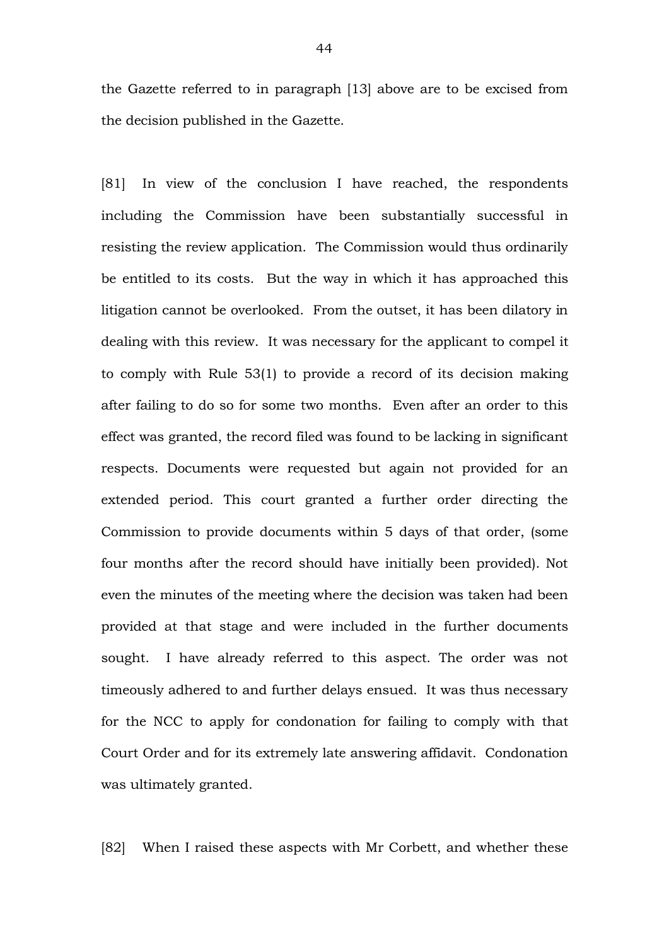the Gazette referred to in paragraph [13] above are to be excised from the decision published in the Gazette.

[81] In view of the conclusion I have reached, the respondents including the Commission have been substantially successful in resisting the review application. The Commission would thus ordinarily be entitled to its costs. But the way in which it has approached this litigation cannot be overlooked. From the outset, it has been dilatory in dealing with this review. It was necessary for the applicant to compel it to comply with Rule 53(1) to provide a record of its decision making after failing to do so for some two months. Even after an order to this effect was granted, the record filed was found to be lacking in significant respects. Documents were requested but again not provided for an extended period. This court granted a further order directing the Commission to provide documents within 5 days of that order, (some four months after the record should have initially been provided). Not even the minutes of the meeting where the decision was taken had been provided at that stage and were included in the further documents sought. I have already referred to this aspect. The order was not timeously adhered to and further delays ensued. It was thus necessary for the NCC to apply for condonation for failing to comply with that Court Order and for its extremely late answering affidavit. Condonation was ultimately granted.

[82] When I raised these aspects with Mr Corbett, and whether these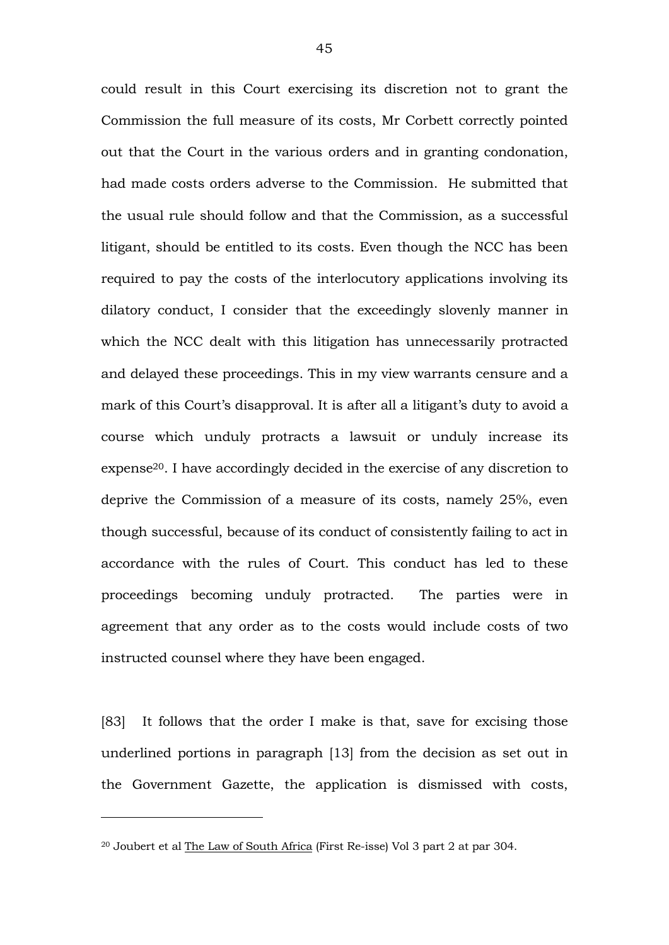could result in this Court exercising its discretion not to grant the Commission the full measure of its costs, Mr Corbett correctly pointed out that the Court in the various orders and in granting condonation, had made costs orders adverse to the Commission. He submitted that the usual rule should follow and that the Commission, as a successful litigant, should be entitled to its costs. Even though the NCC has been required to pay the costs of the interlocutory applications involving its dilatory conduct, I consider that the exceedingly slovenly manner in which the NCC dealt with this litigation has unnecessarily protracted and delayed these proceedings. This in my view warrants censure and a mark of this Court's disapproval. It is after all a litigant's duty to avoid a course which unduly protracts a lawsuit or unduly increase its expense20. I have accordingly decided in the exercise of any discretion to deprive the Commission of a measure of its costs, namely 25%, even though successful, because of its conduct of consistently failing to act in accordance with the rules of Court. This conduct has led to these proceedings becoming unduly protracted. The parties were in agreement that any order as to the costs would include costs of two instructed counsel where they have been engaged.

[83] It follows that the order I make is that, save for excising those underlined portions in paragraph [13] from the decision as set out in the Government Gazette, the application is dismissed with costs,

<sup>&</sup>lt;sup>20</sup> Joubert et al The Law of South Africa (First Re-isse) Vol 3 part 2 at par 304.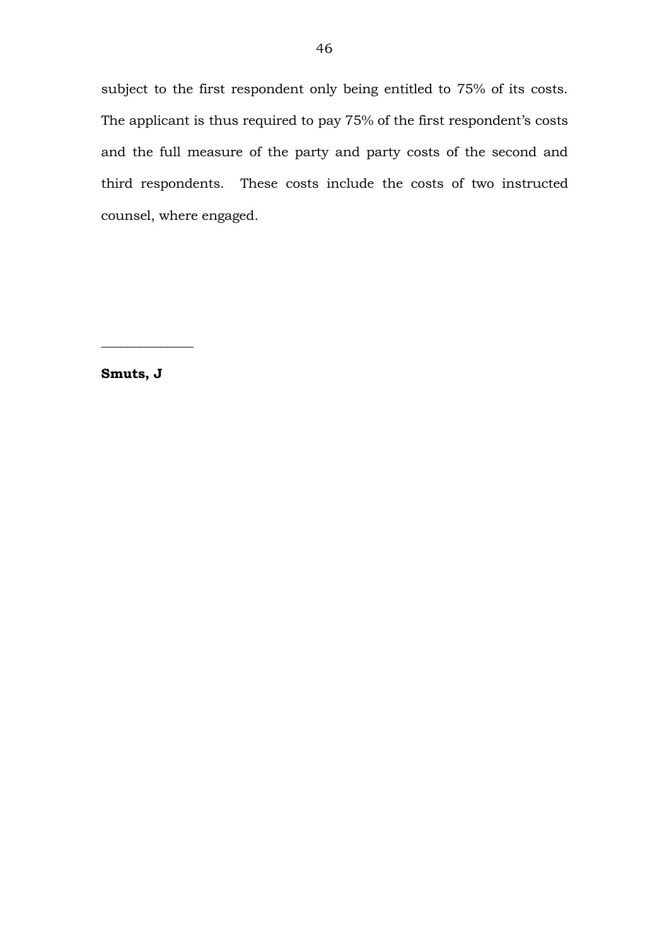subject to the first respondent only being entitled to 75% of its costs. The applicant is thus required to pay 75% of the first respondent's costs and the full measure of the party and party costs of the second and third respondents. These costs include the costs of two instructed counsel, where engaged.

**Smuts, J**

 $\overline{\phantom{a}}$  , where  $\overline{\phantom{a}}$